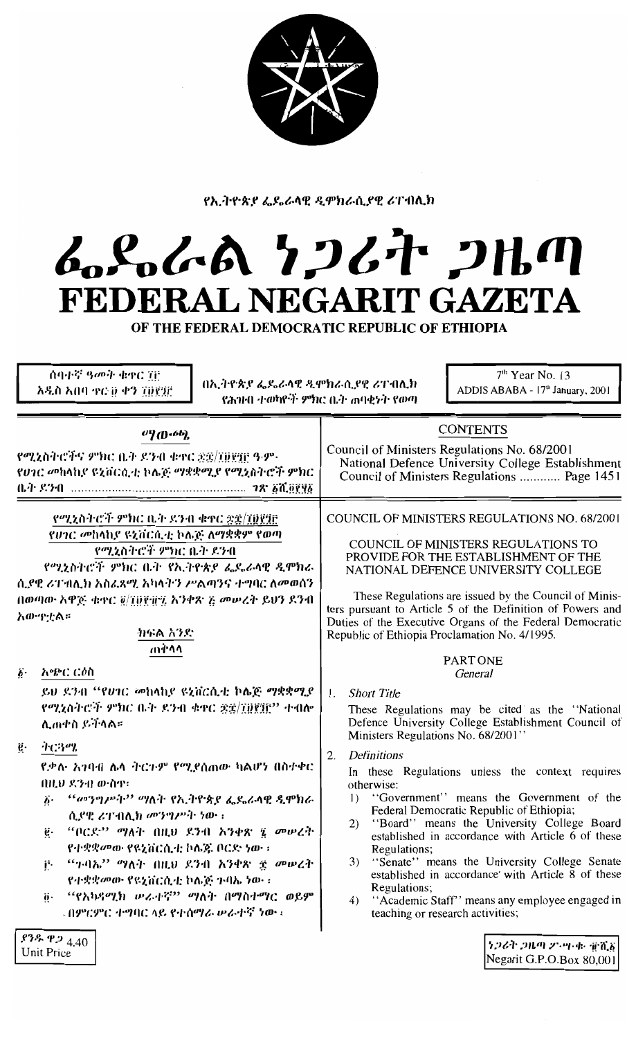

የኢትዮጵያ ፌዴራላዊ ዲሞክራሲያዊ ሪፐብሊክ

# ムパんの 7つびと 2Hm FEDERAL NEGARIT GAZETA OF THE FEDERAL DEMOCRATIC REPUBLIC OF ETHIOPIA

| ሰባተኛ ዓመት ቁቀር ፒሮ<br>አዲስ አበባ ቀር ፱ ቀን ፲፱፻፺፫                                                                                                                                                                                                                                                                                                                                                                       | በኢትዮጵያ ፌዴራላዊ ዲሞክራሲያዊ ሪፐብሊክ<br>የሕንዞበ ተወካዮች ምክር ቤት ሐባቂነት የወጣ |                                                                                                                                                                              | $7th$ Year No. 13<br>ADDIS ABABA - 17th January, 2001                                                                                                                                                                                                                                                                                                                                                 |
|----------------------------------------------------------------------------------------------------------------------------------------------------------------------------------------------------------------------------------------------------------------------------------------------------------------------------------------------------------------------------------------------------------------|------------------------------------------------------------|------------------------------------------------------------------------------------------------------------------------------------------------------------------------------|-------------------------------------------------------------------------------------------------------------------------------------------------------------------------------------------------------------------------------------------------------------------------------------------------------------------------------------------------------------------------------------------------------|
| $^{(1)}$ ([] $\cdot$ 6b],<br>የሚኒስትሮችና ምክር ቤት ደንብ ቁተር ቋቋ/፲፱፻፺፫ ዓ·ም·<br>የሀገር መከላከያ ዩኒቨርሲቲ ኮሌጅ ማቋቋሚያ የሚኒስትሮች ምክር                                                                                                                                                                                                                                                                                                  |                                                            |                                                                                                                                                                              | <b>CONTENTS</b><br>Council of Ministers Regulations No. 68/2001<br>National Defence University College Establishment<br>Council of Ministers Regulations  Page 1451                                                                                                                                                                                                                                   |
| የሚኒስትሮች ምክር ቤት ዶንብ ቁተር ድኗ/፲፱፻፺፫<br>የሀገር መከላከያ ዩኒቨርሲቲ ኮሌጅ ለማቋቋም የወጣ<br>የሚኒስትሮች ምክር ቤት ደንብ<br>የሚኒስትሮች ምክር ቤት የኢትዮጵያ ፌዴራላዊ ዲሞክራ<br>ሲደዊ ሪፐ ብሊክ አስፈጻሚ አካላትን ሥልጣንና ተግባር ለመወሰን<br>በወጣው አዋጅ ቁዋር @/TDP ዙን አንቀጽ ፫ መሠረት ይህን ደንብ<br>አውዋቷል።<br>ክፍል አንድ                                                                                                                                                                      |                                                            | Republic of Ethiopia Proclamation No. 4/1995.                                                                                                                                | COUNCIL OF MINISTERS REGULATIONS NO. 68/2001<br>COUNCIL OF MINISTERS REGULATIONS TO<br>PROVIDE FOR THE ESTABLISHMENT OF THE<br>NATIONAL DEFENCE UNIVERSITY COLLEGE<br>These Regulations are issued by the Council of Minis-<br>ters pursuant to Article 5 of the Definition of Powers and<br>Duties of the Executive Organs of the Federal Democratic                                                 |
| ጠቅሳሳ<br>አጭር ርዕስ<br>$\boldsymbol{b}$ .<br>ይህ ደንብ ''የሀገር መከላከያ ዩኒቨርሲቲ ኮሌጅ ማቋቋሚያ<br>የሚኒስትሮች ምክር ቤት ደንብ ቁዋር ቋቋ/፲፱፻፶፫" ተብሎ<br>ሊጠቀስ ይችላል።                                                                                                                                                                                                                                                                            |                                                            | <b>Short Title</b><br>Ι.                                                                                                                                                     | <b>PART ONE</b><br>General<br>These Regulations may be cited as the "National"<br>Defence University College Establishment Council of                                                                                                                                                                                                                                                                 |
| ትርጓሜ<br>$\mathbf{e} \cdot$<br>ደቃሉ አንባብ ሌላ ትርጉም የሚያሰጠው ካልሆነ በስተቀር<br>በዚህ ደንብ ውስዋ፡<br>"መንግሥት" ማለት የኢትዮጵያ ፌዴራላዊ ዲሞክራ<br>$\ddot{\boldsymbol{b}}$ .<br>ሲያዊ ሪፐብሊክ መንግሥት ነው ፡<br>"ቦርደ" ማለት በዚህ ደንብ አንቀጽ ፤ <i>መሠረት</i><br>ġ.<br>የተቋቋመው የዩኒቨርሲቲ ኮሌጅ ቦርድ ነው ፡<br>"ጉብኤ" ማለት በዚህ ደንብ አንቀጽ ፰ መሠረት<br>Ë.<br>የተቋቋመው የዩኒቨርሲቲ ኮሌጅ ጉባኤ ነው ፡<br>''የአካዳሚክ <i>ው</i> ራተኛ'' ''ንለት በማስተማር ወይም<br>ö٠<br>- በምርምር ተግባር ላይ የተሰማራ ሥራተኛ ነው ፡ |                                                            | Ministers Regulations No. 68/2001"<br><b>Definitions</b><br>2.<br>otherwise:<br>$\mathbf{D}$<br>Regulations;<br>3)<br>Regulations;<br>4)<br>teaching or research activities; | In these Regulations unless the context requires<br>"Government" means the Government of the<br>Federal Democratic Republic of Ethiopia;<br>2) "Board" means the University College Board<br>established in accordance with Article 6 of these<br>"Senate" means the University College Senate<br>established in accordance with Article 8 of these<br>"Academic Staff" means any employee engaged in |
| .93.9924.40<br>Unit Price                                                                                                                                                                                                                                                                                                                                                                                      |                                                            |                                                                                                                                                                              | $[7.264]$ 211.41 25.41.41 in $[7.8]$<br>Negarit G.P.O.Box $80,001$                                                                                                                                                                                                                                                                                                                                    |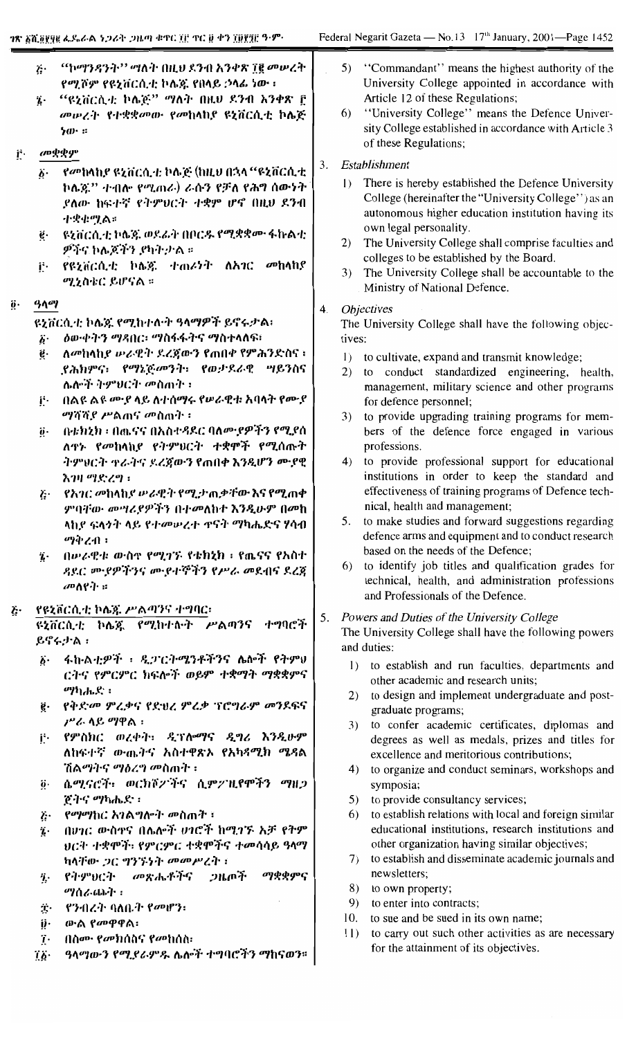|    | $\ddot{G}$<br>Ί.         | "ኮማንዳንት'' ማለት በዚህ ደንብ አንቀጽ ፲፪ መሠረት<br>የሚሾም የዩኒቨርሲቲ ኮሌጁ የበላይ ኃላፊ ነው ፡<br>"ዩኒቨርሲቲ ኮሌጅ" ማለት በዚህ ደንብ አንቀጽ ፫<br>መሥረት የተቋቋመው የመከላከያ ዩኒቨርሲቲ ኮሴጅ<br>ነው ። |    | 5)<br>6)               | "Commandant" means the highest authority of the<br>University College appointed in accordance with<br>Article 12 of these Regulations;<br>"University College" means the Defence Univer-<br>sity College established in accordance with Article 3<br>of these Regulations; |
|----|--------------------------|--------------------------------------------------------------------------------------------------------------------------------------------------|----|------------------------|----------------------------------------------------------------------------------------------------------------------------------------------------------------------------------------------------------------------------------------------------------------------------|
| Ë. |                          | መቋቋም                                                                                                                                             |    |                        |                                                                                                                                                                                                                                                                            |
|    | $\ddot{\bm{b}}$ .        | የመከላከያ ዩኒቨርሲቲ ኮሌጅ (ከዚህ በኋላ "ዩኒቨርሲቲ<br>ኮሌጇ'' ተብሎ የሚጠራ) ራሱን የቻለ የሕግ ሰውነት<br>ያለው ከፍተኛ የትምፀርት ተቋም ሆኖ በዚህ ደንብ<br>小央虫貿合:                               | 3. | $\left  \cdot \right $ | Establishment<br>There is hereby established the Defence University<br>College (hereinafter the "University College") as an<br>autonomous higher education institution having its                                                                                          |
|    | ë.                       | ዩኒቨርሲቲ ኮሌጅ ወደፊት በቦርዱ የሚቋቋሙ ፋኩልቲ<br><i>ዎችና</i> ኮሌጆችን ያካት ታል ።                                                                                     |    | 2)                     | own legal personality.<br>The University College shall comprise faculties and<br>colleges to be established by the Board.                                                                                                                                                  |
|    | jŀ.                      | የዩኒቨርሲቲ ኮሌጅ ተጠሪነት ለአገር<br><i>መ</i> ከላከ የ<br>ሚኒስቴር ይሆናል ።                                                                                         |    | 3)                     | The University College shall be accountable to the<br>Ministry of National Defence.                                                                                                                                                                                        |
| Ö٠ | ዓላማ                      |                                                                                                                                                  | 4. |                        | <i><b>Objectives</b></i>                                                                                                                                                                                                                                                   |
|    |                          | ዩኒቨርሲቲ ኮሌጁ የሚከተሉት ዓላማዎች ይኖሩታል፣                                                                                                                   |    |                        | The University College shall have the following objec-                                                                                                                                                                                                                     |
|    | $\ddot{\mathbf{b}}$ .    | <i>ስ</i> ውቀትን ማዳበር፡ ማስፋፋትና ማስተላለፍ፣                                                                                                               |    | tives:                 |                                                                                                                                                                                                                                                                            |
|    | ë.                       | ለመከላከደ ውራዊት ደረጀውን የጠበቀ የምሕንድስና ፡                                                                                                                 |    | $\left  \right $       | to cultivate, expand and transmit knowledge;                                                                                                                                                                                                                               |
|    |                          | ያሕክምና፡ የማኔጅመንት፡ የወታደራዊ ሣይንስና                                                                                                                     |    | 2)                     | to conduct standardized engineering, health,                                                                                                                                                                                                                               |
|    |                          | ሌሎች ትምህርት መስጠት ፣                                                                                                                                 |    |                        | management, military science and other programs                                                                                                                                                                                                                            |
|    | j٠                       | በልዩ ልዩ መያ ላይ ለተሰማሩ የሠራዊቱ አባላት የሙያ                                                                                                                |    |                        | for defence personnel;                                                                                                                                                                                                                                                     |
|    |                          | <i>ማሻሻያ ሥ</i> ልጠና <i>መ</i> ስጠት ፡                                                                                                                 |    | 3)                     | to provide upgrading training programs for mem-                                                                                                                                                                                                                            |
|    | $\ddot{\theta}$ .        | በቴክኒክ ፡ በጨናና በአስተዳደር ባለሙያዎችን የሚያስ                                                                                                                |    |                        | bers of the defence force engaged in various                                                                                                                                                                                                                               |
|    |                          | ለዋኑ የመከላከያ የትምህርት ተቋሞች የሚሰጡት                                                                                                                     |    |                        | professions.                                                                                                                                                                                                                                                               |
|    |                          | ትምህርት ተራትና ደረጀውን የጠበቀ እንዲሆን ሙያዊ                                                                                                                  |    | 4)                     | to provide professional support for educational                                                                                                                                                                                                                            |
|    |                          | እንዛ ማድረግ ፡                                                                                                                                       |    |                        | institutions in order to keep the standard and                                                                                                                                                                                                                             |
|    | Ï۰                       | <i>የአገር መ</i> ከላከ <i>ያ ውራዊት የሚታ</i> ጠቃቸው እና የሚጠቀ                                                                                                 |    |                        | effectiveness of training programs of Defence tech-                                                                                                                                                                                                                        |
|    |                          | ምባቸው መሣሪያዎችን በተመለከተ እንዲሁም በመከ                                                                                                                    |    |                        | nical, health and management;                                                                                                                                                                                                                                              |
|    |                          | ላኪያ ፍላንት ላይ የተመሠረተ ዋናት ማካሔድና ሃሳብ                                                                                                                 |    |                        | 5. to make studies and forward suggestions regarding                                                                                                                                                                                                                       |
|    |                          | <i>ማቅረ</i> ብ ፡                                                                                                                                   |    |                        | defence arms and equipment and to conduct research                                                                                                                                                                                                                         |
|    | $\ddot{\imath}$ .        | በሥራዊቱ ውስኖ የሚገኙ የቴክኒክ ፡ የጨናና የአስተ                                                                                                                 |    |                        | based on the needs of the Defence;                                                                                                                                                                                                                                         |
|    |                          | ዳደር መያዎችንና ሙያተኞችን የሥራ መደብና ደረጃ                                                                                                                   |    | 6)                     | to identify job titles and qualification grades for                                                                                                                                                                                                                        |
|    |                          | መስየት።                                                                                                                                            |    |                        | technical, health, and administration professions                                                                                                                                                                                                                          |
|    |                          |                                                                                                                                                  |    |                        | and Professionals of the Defence.                                                                                                                                                                                                                                          |
| Ğ٠ |                          | የዩኒቨርሲቲ ኮሌ፮ ሥልጣንና ተግባር፡                                                                                                                          | 5. |                        | Powers and Duties of the University College                                                                                                                                                                                                                                |
|    |                          | ዩኒቨርሲቲ ኮሌጁ የሚከተሉት ሥልጣንና ተግባሮች                                                                                                                    |    |                        | The University College shall have the following powers                                                                                                                                                                                                                     |
|    |                          | ይኖሩታል:                                                                                                                                           |    |                        | and duties:                                                                                                                                                                                                                                                                |
|    | $\boldsymbol{b}$ .       | ፋኩልቲዎች ፣ ዲፓርትሜንቶችንና ሌሎች የትምህ                                                                                                                     |    | $\left  \right $       | to establish and run faculties, departments and                                                                                                                                                                                                                            |
|    |                          | ርትና የምርምር ክፍሎች ወይም ተቋማት ማቋቋምና                                                                                                                    |    |                        | other academic and research units;                                                                                                                                                                                                                                         |
|    |                          | ማካሔድ ፡                                                                                                                                           |    | 2)                     | to design and implement undergraduate and post-                                                                                                                                                                                                                            |
|    | $\ddot{\mathbf{g}}\cdot$ | የቅድመ ምሬቃና የድህረ ምሬቃ ፕሮግራም መንደፍና                                                                                                                   |    |                        | graduate programs;                                                                                                                                                                                                                                                         |
|    |                          | ሥራ ላይ ማዋል ፡                                                                                                                                      |    | 3)                     | to confer academic certificates, diplomas and                                                                                                                                                                                                                              |
|    | ij٠                      | የምስክር ወረቀት፡ ዲፕሎማና ዲግሪ እንዲሁም                                                                                                                      |    |                        | degrees as well as medals, prizes and titles for                                                                                                                                                                                                                           |
|    |                          | ለከፍተኛ ውጤትና አስተዋጽኦ የአካዳሚክ ሜዳል                                                                                                                     |    |                        | excellence and meritorious contributions;                                                                                                                                                                                                                                  |
|    |                          | ሽልማትና ማዕረግ መስጠት ፡                                                                                                                                |    | 4)                     | to organize and conduct seminars, workshops and                                                                                                                                                                                                                            |
|    | ö.                       | ሴሚናሮች፣ ወርክሾፖችና ሲምፖዚየሞችን ማዘጋ                                                                                                                      |    |                        | symposia;                                                                                                                                                                                                                                                                  |
|    |                          | <u>ጀትና ማካሔድ</u> ፡                                                                                                                                |    | 5)                     | to provide consultancy services;                                                                                                                                                                                                                                           |
|    | į.                       | <i>የማማ</i> ከር አገልግሎት መስጠት ፡                                                                                                                      |    | 6)                     | to establish relations with local and foreign similar                                                                                                                                                                                                                      |
|    | $\ddot{\imath}$ .        | በሀገር ውስኖና በሌሎች ሀገሮች ከሚገኙ አቻ የትም                                                                                                                  |    |                        | educational institutions, research institutions and                                                                                                                                                                                                                        |
|    |                          | ህርት ተቋሞች፡ የምርምር ተቋሞችና ተመሳሳይ ዓላማ                                                                                                                  |    |                        | other organization having similar objectives;                                                                                                                                                                                                                              |
|    |                          | ካላቸው ጋር ግንኙነት መመሥረት ፡                                                                                                                            |    | 7)                     | to establish and disseminate academic journals and                                                                                                                                                                                                                         |
|    | η.                       | ማቋቋምና<br>የትምህርት መጽሔቶችና<br>ンルの予                                                                                                                   |    |                        | newsletters;                                                                                                                                                                                                                                                               |
|    |                          | <b>"?ስራ</b> ጨት ፡                                                                                                                                 |    | 8)<br>9)               | to own property;<br>to enter into contracts;                                                                                                                                                                                                                               |
|    | ÿ.                       | የንብረት ባለቤት የመሆን፡                                                                                                                                 |    | 10.                    | to sue and be sued in its own name;                                                                                                                                                                                                                                        |
|    | $\ddot{\mathbf{v}}$      | ውል የመዋዋል፡                                                                                                                                        |    | 11)                    | to carry out such other activities as are necessary                                                                                                                                                                                                                        |
|    | ï٠                       | ብስሙ የመክሰስና የመከሰስ፡                                                                                                                                |    |                        | for the attainment of its objectives.                                                                                                                                                                                                                                      |
|    | ra sa                    | $0$ እመጨሚያ መሆን መሆን አንዱች ሐውበ ወችሚ መከር መች                                                                                                            |    |                        |                                                                                                                                                                                                                                                                            |

ዓላማውን የሚደራምዱ ሌሎች ተግባሮችን ማከናወን።  $\big|$ Ϊþ·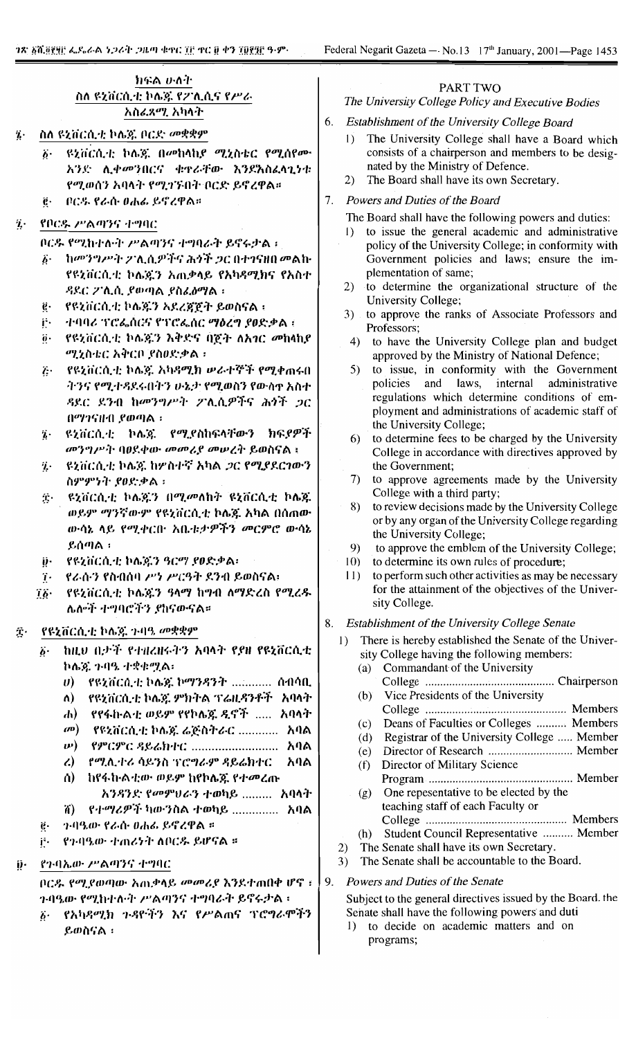# ክፍል ሁሉት ስለ ዩኒቨርሲቲ ኮሌጅ የፖሊሲና የሥራ አስፈጻሚ አካላት

- ስለ ዩኒቨርሲቲ ኮሌጅ ቦርድ መቋቋም
	- ዩኒቨርሲቲ ኮሌጄ በመከላከያ ሚኒስቴር የሚሰየሙ አንድ ሊቀመንበርና ቁዋራቸው እንደአስፈላጊነቱ የሚወሰን አባላት የሚገኙበት ቦርድ ይኖረዋል።
	- ቦርዱ የራስ ዐሐፊ ይኖረዋል።  $\mathbf{e}$
- የቦርዱ ሥልጣንና ተግባር ij.

ቦርዱ የሚከተሉት ሥልጣንና ተግባራት ይኖሩታል።

- δ· ከመንግሥት ፖሊሲዎችና ሕጎች ጋር በተገናዘበ መልኩ የዩኒቨርሲቲ ኮሌጄን አጠቃላይ የአካዳሚክና የአስተ ዳደር ፖሊሲ ያወጣል ያስፈፅማል።
- የዩኒቨርሲቲ ኮሌጁን አደረጃጀት ይወስናል ፡ ġ.
- i٠. ተባባሪ ፕሮፌሰርና የፕሮፌሰር ማዕረግ ያወድቃል ፡
- የዩኒቨርሲቲ ኮሌጄን እቅድና በጀት ለአገር መከላኪየ  $\ddot{\theta}$ . ሚኒስቴር አቅርቦ ያስፀድቃል።
- ች፦ የዩኒቨርሲቲ ኮሌጁ አካዳሚክ ሥራተኞች የሚቀጠሩበ ትንና የሚተዳደሩበትን ሁኔታ የሚወስን የውስዋ አስተ ዳደር ደንብ ከመንግሥት ፖሊሲዎችና ሕጎች ጋር በማንናዘብ ያወጣል ፡
- ዩኒቨርሲቲ ኮሌጄ የሚያስከፍላቸውን ክፍያዎች ï. መንግሥት ባፀደቀው መመሪያ መሠረት ይወስናል ፡
- ዩኒቨርሲቲ ኮሌጅ ከሦስተኛ አካል ጋር የሚያደርገውን Ί. ስምምነት ያፀድቃል ፡
- ዩኒቨርሲቲ ኮሌጄን በሚመለከት ዩኒቨርሲቲ ኮሌጁ Ϊ. ወይም ማንኛውም የዩኒቨርሲቲ ኮሌጁ አካል በሰጠው ውሳኔ ላይ የሚቀርቡ አቤቱታዎችን መርምሮ ውሳኔ ይሰጣል :
- የዩኒቨርሲቲ ኮሌጁን ዓርማ ያወድቃል፡ ij٠
- የራሱን የስብሰባ ሥነ ሥርዓት ደንብ ይወስናል፡  $\dddot{\mathbf{i}}$ .
- የዩኒቨርሲቲ ኮሌጆን ዓላማ ከግብ ለማድረስ የሚረዱ  $\dddot{\theta}$ . ሌሎች ተግባሮችን ያከናውናል።

## የዩኒቨርሲቲ ኮሌጅ 7-4ዓ. መቋቋም  $\hat{\mathbf{X}}$ .

- ከዚህ በታች የተዘረዘሩትን አባላት የያዘ የዩኒቨርሲቲ ö. ኮሴጃ ጉባዔ ተቋቀሟል፡
	- $\ket{0}$  **PRZYCA.4**; ኮሌጆ ኮማንዳንት ............ ሰብሳቢ
	- ለ) የዩኒቨርሲቲ ኮሌዩ ምክትል ፕሬዚዳንቶች አባላት
	- ሐ) የየፋኩልቲ ወይም የየኮሴጁ ዲኖች ..... አባላት
	- መ) የዩኒቨርሲቲ ኮሌጅ ሬጅስትራር ............. አባል
	- *ν***)** የምርምር ዳይሬክተር .......................... አባል
	- የሚሊተራ ሳይንስ ፕሮግራም ዳይሬክተር አባል  $\mathbf{Z}$
	- ከየፋኩልቲው ወይም ከየኮሴጁ የተመረጡ ለ) አንዳንድ የመምሀራን ተወካይ ......... አባላት
	- የተማሪዎች ካውንስል ተወካይ ............... አባል ñ)
- ንብዔው የራሱ 0ሐሬ ይኖረዋል ፡፡ ë.
- j÷. የንብዔው ተጠሪነት ለቦርዱ ይሆናል ፡፡
- ij. የንብኤው ሥልጣንና ተግባር

በርዱ የሚደወጣው አጠቃላይ መመሪያ እንደተጠበቀ ሆኖ ፤ ንብዔው የሚከተሉት ሥልጣንና ተግባራት ይኖሩታል ፡

፩· የአካዳሚክ ኅዳዮችን እና የሥልጠና ፕሮግራሞችን ይወስናል ፡

# **PART TWO**

# The University College Policy and Executive Bodies

- 6. Establishment of the University College Board
	- The University College shall have a Board which  $\left( \right)$ consists of a chairperson and members to be designated by the Ministry of Defence.
	- $(2)$ The Board shall have its own Secretary.
- 7. Powers and Duties of the Board
	- The Board shall have the following powers and duties:
	- 1) to issue the general academic and administrative policy of the University College; in conformity with Government policies and laws; ensure the implementation of same;
	- 2) to determine the organizational structure of the University College;
	- 3) to approve the ranks of Associate Professors and Professors;
	- 4) to have the University College plan and budget approved by the Ministry of National Defence;
	- 5) to issue, in conformity with the Government policies and laws, internal administrative regulations which determine conditions of employment and administrations of academic staff of the University College;
	- 6) to determine fees to be charged by the University College in accordance with directives approved by the Government;
	- 7) to approve agreements made by the University College with a third party;
	- 8) to review decisions made by the University College or by any organ of the University College regarding the University College;
	- 9) to approve the emblem of the University College;
	- $(10)$ to determine its own rules of procedure;
	- $11)$ to perform such other activities as may be necessary for the attainment of the objectives of the University College.
- 8. Establishment of the University College Senate
	- 1) There is hereby established the Senate of the University College having the following members:
		- (a) Commandant of the University
		- Vice Presidents of the University  $(b)$
		- Deans of Faculties or Colleges .......... Members  $(c)$
		- Registrar of the University College ..... Member  $(d)$
		- $(e)$
		- Director of Military Science  $(f)$
		- One repesentative to be elected by the  $(g)$ teaching staff of each Faculty or
		- (h) Student Council Representative .......... Member
	- The Senate shall have its own Secretary.  $(2)$
	- 3) The Senate shall be accountable to the Board.
- 9. Powers and Duties of the Senate

Subject to the general directives issued by the Board. the Senate shall have the following powers and duti

1) to decide on academic matters and on programs;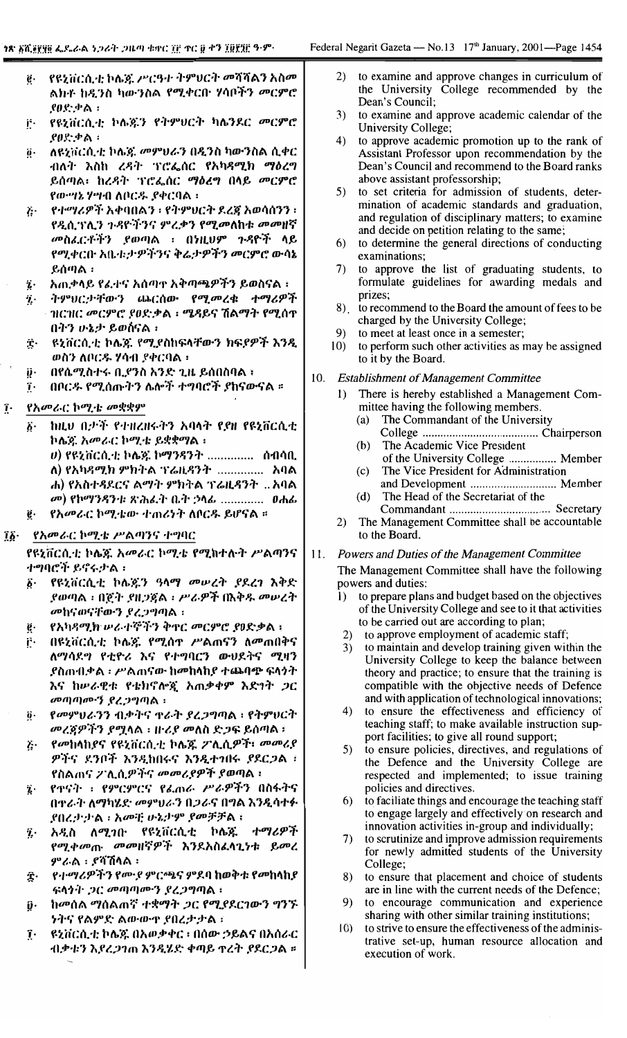| $\boldsymbol{e}$ . | የዩኒቨርሲቲ ኮሌጅ ሥርዓተ ትምህርት መሻሻልን አስመ                     |  |  |  |
|--------------------|------------------------------------------------------|--|--|--|
|                    | ልክቶ ከዲንስ ካውንስል የሚቀርቡ ሃሳቦችን መርምሮ                      |  |  |  |
|                    | $.90$ ደነታል።                                          |  |  |  |
| j٠                 | የዩኒቨርሲቲ ኮሌጇን የትምሀርት ካሌንደር መርምሮ                       |  |  |  |
|                    | ያፀድቃል ፡                                              |  |  |  |
| ö.                 | $\alpha$ ዩኒቨርሲቲ ኮሌኟ መምሀራን በዲንስ ካውንስል ሲቀር $\parallel$ |  |  |  |
|                    | ብእት እለክ ጋዴት ጥዋጋለር የአክደማክ ማለጋጣ                        |  |  |  |

- እስከ ረዳት ∙וו∧יו ንሮፌሰር ይሰጣል፣ ከረዳት ፕሮፌሰር ማዕረግ በላይ መርምሮ የውሣኔ ሃሣብ ለቦርዱ ያቀርባል ፡
- የተማሪዎች አቀባበልን ፡ የትምህርት ደረጃ አወሳሰንን ፡  $\ddot{L}$ የዲሲገንሊን ጉዳዮችንና ምረቃን የሚመለከቱ መመዘኛ መስፈርቶችን ያወጣል ፡ በነዚህም ጉዳዮች ላይ የሚቀርቡ አቤቱ:ታዎችንና ቅሬ:ታዎችን መርምሮ ውሳኔ ይሰጣል :
- አጠቃላይ የፈተና አሰጣተ አቅጣጫዎችን ይወስናል ፡ ï.
- ትምህርታቸውን ጨርሰው የሚመረቁ ተማሪዎች  $\ddot{\mathbf{z}}$ . ዝርዝር መርምሮ ያፀድቃል ፡ ሜዳይና ሽልማት የሚሰዋ በትን ሁኔታ ይወስናል ፡
- $\hat{\mathbf{r}}$ ዩኒቨርሲቲ ኮሌጄ የሚደስከፍላቸውን ክፍያዎች እንዲ ወስን ለቦርዱ ሃሳብ ያቀርባል ፡
- ij٠ በየሴሚስተሩ ቢያንስ አንድ ጊዜ ይሰበስባል ፡
- በቦርዱ የሚሰጡትን ሌሎች ተግባሮች ያከናውናል ።  $\tilde{\mathbf{I}}$
- የአመራር ኮሚቴ መቋቋም  $\mathbf{r}$ 
	- ከዚህ በታች የተዘረዘሩትን አባላት የያዘ የዩኒቨርሲቲ  $\ddot{\theta}$ . ኮሴຊ. አመራር ኮሚቴ ይቋቋማል ፡
		- υ) የዩኒቨርሲቲ ኮሌጃ ኮማንዳንት ............... ሰብሳቢ ለ) የአካዳሚክ ምክትል ፕሬዚዳንት ............... አባል ሐ) የአስተዳደርና ልማት ምክትል ፕሬዚዳንት ...አባል
		- መ) የኮማንዳንቱ ጽሕፈት ቤት ኃላፊ ............. ዐሐፊ
	- የአመራር ኮሚቴው ተጠሪነት ለቦርዱ ይሆናል ። ë.

## የአመራር ኮሚቴ ሥልጣንና ተግባር ïĝ∙

የዩኒቨርሲቲ ኮሌጁ አመራር ኮሚቴ የሚከተሉት ሥልጣንና ተግባሮች ይኖሩታል ፡

- የዩኒቨርሲቲ ኮሌጅን ዓላማ መሠረት ያደረገ እቅድ  $\hat{b}$ . ያወጣል ፡ በጀት ያዘጋጀል ፡ ሥራዎች በእቅዱ መሠረት መከናወናቸውን ደረጋግጣል ፡
- የአካዳሚክ ሥራተኞችን ቅኖር መርምሮ ያፀድቃል ፡ ę.
- በዩኒቨርሲቲ ኮሌጅ የሚሰዋ ሥልጠናን ለመጠበቅና Ë. ለማሳደግ የቲዮሪ እና የተግባርን ውህደትና ሚዛን *ያ*ስጠብቃል ፡ ሥልጠናው ከመከላከያ ተጨባጭ ፍላጎት እና ከሥራዊቱ የቴክኖሎጂ አጠቃቀም እድገት ጋር መጣጣሙኝ ያረጋግጣል ፡
- የመምህራንን ብቃትና ዋራት ያረጋግጣል ፡ የትምህርት ğ. መረጃዎችን ደሟላል ፡ ዙሪያ መለስ ድጋፍ ይሰጣል ፣
- የመከላከያና የዩኒቨርሲቲ ኮሌጁ ፖሊሲዎች፣ መመሪያ Ĕ٠ ዎችና ደንቦች እንዲከበሩና እንዲተገበሩ ያደርጋል ፣ የስልጠና ፖሊሲዎችና መመሪያዎች ያወጣል ፡
- የተናት ፡ የምርምርና የፌጠራ ሥራዎችን በስፋትና  $\mathbf{z}$ በዋራት ለማካሄድ መምህራን በጋራና በግል እንዲሳተፉ ደበረታታል ፡ አመቺ ሁኔታም ደመቻቻል ፡
- አዲስ ለሚገበ የዩኒቨርሲቲ ኮሌጁ ተማሪዎች  $\ddot{\imath}$ . የሚቀመጡ መመዘኛዎች እንደአስፈላጊነቱ ይመረ ምራል ፡ ደሻሽላል ፡
- Ŷ. የተማሪዎችን የሙያ ምርጫና ምደባ ከወቅቱ የመከላከያ ፍላጎት ጋር መጣጣሙን ደረጋግጣል።
- ከመሰል ማሰልጠኛ ተቋማት ጋር የሚያደርገውን ግንኙ  $\hat{\boldsymbol{\mathsf{v}}}$ . ንትና የልምድ ልውውዋ ያበረታታል።
- ዩኒቨርሲቲ ኮሴጁ በአወቃቀር ፡ በሰው ኃይልና በአሰራር  $\mathbf{r}$ ብቃቱን እያረጋንጠ እንዲሄድ ቀጣይ ዋረት ያደርጋል ።
- to examine and approve changes in curriculum of  $2)$ the University College recommended by the Dean's Council:
- $3)$ to examine and approve academic calendar of the University College;
- $4)$ to approve academic promotion up to the rank of Assistant Professor upon recommendation by the Dean's Council and recommend to the Board ranks above assistant professorship;
- to set criteria for admission of students, deter-5) mination of academic standards and graduation, and regulation of disciplinary matters; to examine and decide on petition relating to the same;
- to determine the general directions of conducting  $6)$ examinations;
- to approve the list of graduating students, to 7) formulate guidelines for awarding medals and prizes;
- 8) to recommend to the Board the amount of fees to be charged by the University College;
- 9) to meet at least once in a semester;
- $10)$ to perform such other activities as may be assigned to it by the Board.
- 10. **Establishment of Management Committee** 
	- $\mathbf{I}$ There is hereby established a Management Committee having the following members.
		- The Commandant of the University  $(a)$
		- $(b)$ The Academic Vice President
		- of the University College ................. Member  $(c)$ The Vice President for Administration
		- and Development ................................ Member The Head of the Secretariat of the  $(d)$
	- $2)$ The Management Committee shall be accountable to the Board.

## $11.$ Powers and Duties of the Management Committee

The Management Committee shall have the following powers and duties:

- to prepare plans and budget based on the objectives  $\mathbf{I}$ of the University College and see to it that activities to be carried out are according to plan;
- 2) to approve employment of academic staff;
- $3)$ to maintain and develop training given within the University College to keep the balance between theory and practice; to ensure that the training is compatible with the objective needs of Defence and with application of technological innovations;
- $4)$ to ensure the effectiveness and efficiency of teaching staff; to make available instruction support facilities; to give all round support;
- 5) to ensure policies, directives, and regulations of the Defence and the University College are respected and implemented; to issue training policies and directives.
- to faciliate things and encourage the teaching staff 6) to engage largely and effectively on research and innovation activities in-group and individually;
- 7) to scrutinize and improve admission requirements for newly admitted students of the University College;
- 8) to ensure that placement and choice of students are in line with the current needs of the Defence:
- 9) to encourage communication and experience sharing with other similar training institutions;
- $(0)$ to strive to ensure the effectiveness of the administrative set-up, human resource allocation and execution of work.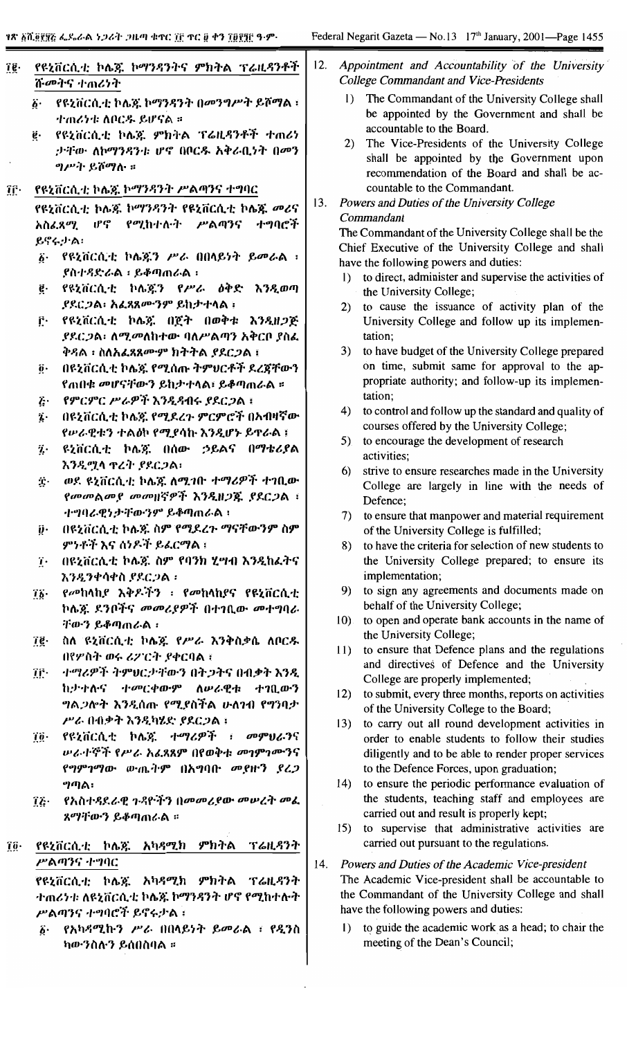$\cdot$ 

| _የዩኒቨርሲቲ ኮሌጃ ኮማንዳንት በመንግሥት ይሾማል ፡<br>ተጠሪንቱ ለቦርዱ ይሆናል ፡፡<br>የዩኒቨርሲቲ ኮሌጃ ምክትል ፕሬዚዳንቶች ተጠሪነ<br>ታቸው ለኮማንዳንቱ ሆኖ በቦርዱ አቅራቢነት በመን<br><i>ግሥት</i> ይሾማሉ ።<br>የዩኒቨርሲቲ ኮሌጁ ኮማንዳንት ሥልጣንና ተግባር<br>የዩኒቨርሲቲ ኮሌጁ ኮማንዳንት የዩኒቨርሲቲ ኮሌጁ መሪና<br>አስፈጻሚ ሆኖ የሚከተሉት ሥልጣንና<br>ተግባሮች<br>ይኖሩታል፡<br>የዩኒቨርሲቲ ኮሌጄን ሥራ በበላይነት ይመራል ፣<br>ደስተዳድራል ፡ ይቆጣጠራል ፡<br>የዩኒቨርሲቲ ኮሌጄን የሥራ ዕቅድ እንዲወጣ<br><i>ያደርጋል፡ አፌ</i> ጸጸም <i>ንም</i> ይከታተላል ፡<br>የዩኒቨርሲቲ ኮሌጁ በጀት በወቅቱ እንዲዘጋጅ<br><i>ያደርጋ</i> ል፡ ለሚ <i>መ</i> ለከተው ባለሥልጣን አቅርቦ ያስፌ<br>ቅዳል ፡ ስለአፌጻጸሙም ክትትል ያደርጋል ፤<br>በዩኒቨርሲቲ ኮሌጃ የሚሰጡ ትምሀርቶች ደረጀቸውን<br>የጠበቁ መሆናቸውን ይከታተላል፣ ይቆጣጠራል ፡፡<br>የምርምር ሥራዎች እንዲዳብሩ ያደርጋል ፣<br>በዩኒቨርሲቲ ኮሌጃ የሚደረጉ ምርምሮች በአብዛኛው<br>የሥራዊቱን ተልዕኮ የሚያሳኩ እንዲሆኑ ይዋራል ፣<br>ዩኒቨርሲቲ ኮሌጀ በሰው ኃይልና በማቴሪያል | $\left( \right)$<br>2)<br>13.<br>1)<br>2)<br>3)<br>4)                                                                                                                                                                                                                     | The Commandant of the University College shall<br>be appointed by the Government and shall be<br>accountable to the Board.<br>The Vice-Presidents of the University College<br>recommendation of the Board and shall be ac-<br>countable to the Commandant.<br>Powers and Duties of the University College<br>Commandant<br>The Commandant of the University College shall be the<br>have the following powers and duties:<br>to direct, administer and supervise the activities of<br>the University College;<br>to cause the issuance of activity plan of the<br>University College and follow up its implemen-<br>tation;<br>to have budget of the University College prepared<br>on time, submit same for approval to the ap-<br>propriate authority; and follow-up its implemen- |
|-----------------------------------------------------------------------------------------------------------------------------------------------------------------------------------------------------------------------------------------------------------------------------------------------------------------------------------------------------------------------------------------------------------------------------------------------------------------------------------------------------------------------------------------------------------------------------------------------------------------------------------------------------------------------------------------------------------------------|---------------------------------------------------------------------------------------------------------------------------------------------------------------------------------------------------------------------------------------------------------------------------|---------------------------------------------------------------------------------------------------------------------------------------------------------------------------------------------------------------------------------------------------------------------------------------------------------------------------------------------------------------------------------------------------------------------------------------------------------------------------------------------------------------------------------------------------------------------------------------------------------------------------------------------------------------------------------------------------------------------------------------------------------------------------------------|
|                                                                                                                                                                                                                                                                                                                                                                                                                                                                                                                                                                                                                                                                                                                       |                                                                                                                                                                                                                                                                           | shall be appointed by the Government upon                                                                                                                                                                                                                                                                                                                                                                                                                                                                                                                                                                                                                                                                                                                                             |
|                                                                                                                                                                                                                                                                                                                                                                                                                                                                                                                                                                                                                                                                                                                       |                                                                                                                                                                                                                                                                           |                                                                                                                                                                                                                                                                                                                                                                                                                                                                                                                                                                                                                                                                                                                                                                                       |
|                                                                                                                                                                                                                                                                                                                                                                                                                                                                                                                                                                                                                                                                                                                       |                                                                                                                                                                                                                                                                           |                                                                                                                                                                                                                                                                                                                                                                                                                                                                                                                                                                                                                                                                                                                                                                                       |
|                                                                                                                                                                                                                                                                                                                                                                                                                                                                                                                                                                                                                                                                                                                       |                                                                                                                                                                                                                                                                           |                                                                                                                                                                                                                                                                                                                                                                                                                                                                                                                                                                                                                                                                                                                                                                                       |
|                                                                                                                                                                                                                                                                                                                                                                                                                                                                                                                                                                                                                                                                                                                       |                                                                                                                                                                                                                                                                           |                                                                                                                                                                                                                                                                                                                                                                                                                                                                                                                                                                                                                                                                                                                                                                                       |
|                                                                                                                                                                                                                                                                                                                                                                                                                                                                                                                                                                                                                                                                                                                       |                                                                                                                                                                                                                                                                           | Chief Executive of the University College and shall                                                                                                                                                                                                                                                                                                                                                                                                                                                                                                                                                                                                                                                                                                                                   |
|                                                                                                                                                                                                                                                                                                                                                                                                                                                                                                                                                                                                                                                                                                                       |                                                                                                                                                                                                                                                                           |                                                                                                                                                                                                                                                                                                                                                                                                                                                                                                                                                                                                                                                                                                                                                                                       |
|                                                                                                                                                                                                                                                                                                                                                                                                                                                                                                                                                                                                                                                                                                                       |                                                                                                                                                                                                                                                                           |                                                                                                                                                                                                                                                                                                                                                                                                                                                                                                                                                                                                                                                                                                                                                                                       |
|                                                                                                                                                                                                                                                                                                                                                                                                                                                                                                                                                                                                                                                                                                                       |                                                                                                                                                                                                                                                                           |                                                                                                                                                                                                                                                                                                                                                                                                                                                                                                                                                                                                                                                                                                                                                                                       |
|                                                                                                                                                                                                                                                                                                                                                                                                                                                                                                                                                                                                                                                                                                                       |                                                                                                                                                                                                                                                                           |                                                                                                                                                                                                                                                                                                                                                                                                                                                                                                                                                                                                                                                                                                                                                                                       |
|                                                                                                                                                                                                                                                                                                                                                                                                                                                                                                                                                                                                                                                                                                                       |                                                                                                                                                                                                                                                                           |                                                                                                                                                                                                                                                                                                                                                                                                                                                                                                                                                                                                                                                                                                                                                                                       |
|                                                                                                                                                                                                                                                                                                                                                                                                                                                                                                                                                                                                                                                                                                                       |                                                                                                                                                                                                                                                                           |                                                                                                                                                                                                                                                                                                                                                                                                                                                                                                                                                                                                                                                                                                                                                                                       |
|                                                                                                                                                                                                                                                                                                                                                                                                                                                                                                                                                                                                                                                                                                                       |                                                                                                                                                                                                                                                                           |                                                                                                                                                                                                                                                                                                                                                                                                                                                                                                                                                                                                                                                                                                                                                                                       |
|                                                                                                                                                                                                                                                                                                                                                                                                                                                                                                                                                                                                                                                                                                                       |                                                                                                                                                                                                                                                                           |                                                                                                                                                                                                                                                                                                                                                                                                                                                                                                                                                                                                                                                                                                                                                                                       |
|                                                                                                                                                                                                                                                                                                                                                                                                                                                                                                                                                                                                                                                                                                                       |                                                                                                                                                                                                                                                                           |                                                                                                                                                                                                                                                                                                                                                                                                                                                                                                                                                                                                                                                                                                                                                                                       |
|                                                                                                                                                                                                                                                                                                                                                                                                                                                                                                                                                                                                                                                                                                                       |                                                                                                                                                                                                                                                                           |                                                                                                                                                                                                                                                                                                                                                                                                                                                                                                                                                                                                                                                                                                                                                                                       |
|                                                                                                                                                                                                                                                                                                                                                                                                                                                                                                                                                                                                                                                                                                                       |                                                                                                                                                                                                                                                                           |                                                                                                                                                                                                                                                                                                                                                                                                                                                                                                                                                                                                                                                                                                                                                                                       |
|                                                                                                                                                                                                                                                                                                                                                                                                                                                                                                                                                                                                                                                                                                                       |                                                                                                                                                                                                                                                                           | tation;                                                                                                                                                                                                                                                                                                                                                                                                                                                                                                                                                                                                                                                                                                                                                                               |
|                                                                                                                                                                                                                                                                                                                                                                                                                                                                                                                                                                                                                                                                                                                       |                                                                                                                                                                                                                                                                           | to control and follow up the standard and quality of                                                                                                                                                                                                                                                                                                                                                                                                                                                                                                                                                                                                                                                                                                                                  |
|                                                                                                                                                                                                                                                                                                                                                                                                                                                                                                                                                                                                                                                                                                                       |                                                                                                                                                                                                                                                                           | courses offered by the University College;                                                                                                                                                                                                                                                                                                                                                                                                                                                                                                                                                                                                                                                                                                                                            |
|                                                                                                                                                                                                                                                                                                                                                                                                                                                                                                                                                                                                                                                                                                                       | 5).                                                                                                                                                                                                                                                                       | to encourage the development of research                                                                                                                                                                                                                                                                                                                                                                                                                                                                                                                                                                                                                                                                                                                                              |
| እንዲማሳ ተረት የደርጋል፡                                                                                                                                                                                                                                                                                                                                                                                                                                                                                                                                                                                                                                                                                                      |                                                                                                                                                                                                                                                                           | activities;                                                                                                                                                                                                                                                                                                                                                                                                                                                                                                                                                                                                                                                                                                                                                                           |
| ወደ ዩኒቨርሲቲ ኮሌጁ ለሚገቡ ተማሪዎች ተገቢው                                                                                                                                                                                                                                                                                                                                                                                                                                                                                                                                                                                                                                                                                         | 6)                                                                                                                                                                                                                                                                        | strive to ensure researches made in the University                                                                                                                                                                                                                                                                                                                                                                                                                                                                                                                                                                                                                                                                                                                                    |
| የመመልመያ መመዘኛዎች እንዲዘጋጁ ያደርጋል ፣                                                                                                                                                                                                                                                                                                                                                                                                                                                                                                                                                                                                                                                                                          |                                                                                                                                                                                                                                                                           | College are largely in line with the needs of<br>Defence;                                                                                                                                                                                                                                                                                                                                                                                                                                                                                                                                                                                                                                                                                                                             |
| ተግባራዊነታቸውንም ይቆጣጠራል ፡                                                                                                                                                                                                                                                                                                                                                                                                                                                                                                                                                                                                                                                                                                  |                                                                                                                                                                                                                                                                           | 7) to ensure that manpower and material requirement                                                                                                                                                                                                                                                                                                                                                                                                                                                                                                                                                                                                                                                                                                                                   |
| በዩኒቨርሲቲ ኮሌጅ ስም የሚደረጉ ማናቸውንም ስም                                                                                                                                                                                                                                                                                                                                                                                                                                                                                                                                                                                                                                                                                        |                                                                                                                                                                                                                                                                           | of the University College is fulfilled;                                                                                                                                                                                                                                                                                                                                                                                                                                                                                                                                                                                                                                                                                                                                               |
| ምንቶች እና ሰነዶች ይፌርማል ፤                                                                                                                                                                                                                                                                                                                                                                                                                                                                                                                                                                                                                                                                                                  | 8)                                                                                                                                                                                                                                                                        | to have the criteria for selection of new students to                                                                                                                                                                                                                                                                                                                                                                                                                                                                                                                                                                                                                                                                                                                                 |
| በዩኒቨርሲቲ ኮሌጅ ስም የባንክ ሂሣብ እንዲከፈትና                                                                                                                                                                                                                                                                                                                                                                                                                                                                                                                                                                                                                                                                                       |                                                                                                                                                                                                                                                                           | the University College prepared; to ensure its                                                                                                                                                                                                                                                                                                                                                                                                                                                                                                                                                                                                                                                                                                                                        |
| እንዲንቀሳቀስ ያደርጋል ፡                                                                                                                                                                                                                                                                                                                                                                                                                                                                                                                                                                                                                                                                                                      |                                                                                                                                                                                                                                                                           | implementation;                                                                                                                                                                                                                                                                                                                                                                                                                                                                                                                                                                                                                                                                                                                                                                       |
| የመከላከያ እቅዶችን ፡ የመከላከያና የዩኒቨርሲቲ                                                                                                                                                                                                                                                                                                                                                                                                                                                                                                                                                                                                                                                                                        | 9)                                                                                                                                                                                                                                                                        | to sign any agreements and documents made on                                                                                                                                                                                                                                                                                                                                                                                                                                                                                                                                                                                                                                                                                                                                          |
| ኮሌጃ. ደንቦችና መመሪያዎች በተገቢው መተግባራ                                                                                                                                                                                                                                                                                                                                                                                                                                                                                                                                                                                                                                                                                         |                                                                                                                                                                                                                                                                           | behalf of the University College;                                                                                                                                                                                                                                                                                                                                                                                                                                                                                                                                                                                                                                                                                                                                                     |
| ቸውን ይቆጣጠራል ፡                                                                                                                                                                                                                                                                                                                                                                                                                                                                                                                                                                                                                                                                                                          | 10).                                                                                                                                                                                                                                                                      | to open and operate bank accounts in the name of                                                                                                                                                                                                                                                                                                                                                                                                                                                                                                                                                                                                                                                                                                                                      |
|                                                                                                                                                                                                                                                                                                                                                                                                                                                                                                                                                                                                                                                                                                                       |                                                                                                                                                                                                                                                                           | the University College;                                                                                                                                                                                                                                                                                                                                                                                                                                                                                                                                                                                                                                                                                                                                                               |
| ስለ ዩኒቨርሲቲ ኮሌጁ የሥራ እንቅስቃሴ ለቦርዱ                                                                                                                                                                                                                                                                                                                                                                                                                                                                                                                                                                                                                                                                                         | 11)                                                                                                                                                                                                                                                                       | to ensure that Defence plans and the regulations                                                                                                                                                                                                                                                                                                                                                                                                                                                                                                                                                                                                                                                                                                                                      |
| በየሦስት ወሩ ሪፖርት ያቀርባል ፣                                                                                                                                                                                                                                                                                                                                                                                                                                                                                                                                                                                                                                                                                                 |                                                                                                                                                                                                                                                                           | and directives of Defence and the University                                                                                                                                                                                                                                                                                                                                                                                                                                                                                                                                                                                                                                                                                                                                          |
| ተማሪዎች ትምህርታቸውን በትጋትና በብቃት እንዲ                                                                                                                                                                                                                                                                                                                                                                                                                                                                                                                                                                                                                                                                                         |                                                                                                                                                                                                                                                                           | College are properly implemented;                                                                                                                                                                                                                                                                                                                                                                                                                                                                                                                                                                                                                                                                                                                                                     |
|                                                                                                                                                                                                                                                                                                                                                                                                                                                                                                                                                                                                                                                                                                                       | 12)                                                                                                                                                                                                                                                                       | to submit, every three months, reports on activities                                                                                                                                                                                                                                                                                                                                                                                                                                                                                                                                                                                                                                                                                                                                  |
|                                                                                                                                                                                                                                                                                                                                                                                                                                                                                                                                                                                                                                                                                                                       |                                                                                                                                                                                                                                                                           | of the University College to the Board;                                                                                                                                                                                                                                                                                                                                                                                                                                                                                                                                                                                                                                                                                                                                               |
|                                                                                                                                                                                                                                                                                                                                                                                                                                                                                                                                                                                                                                                                                                                       | 13)                                                                                                                                                                                                                                                                       | to carry out all round development activities in                                                                                                                                                                                                                                                                                                                                                                                                                                                                                                                                                                                                                                                                                                                                      |
|                                                                                                                                                                                                                                                                                                                                                                                                                                                                                                                                                                                                                                                                                                                       |                                                                                                                                                                                                                                                                           | order to enable students to follow their studies                                                                                                                                                                                                                                                                                                                                                                                                                                                                                                                                                                                                                                                                                                                                      |
|                                                                                                                                                                                                                                                                                                                                                                                                                                                                                                                                                                                                                                                                                                                       |                                                                                                                                                                                                                                                                           | diligently and to be able to render proper services                                                                                                                                                                                                                                                                                                                                                                                                                                                                                                                                                                                                                                                                                                                                   |
| የግምገማው ውጤትም በአግባቡ መያዙን ያረጋ                                                                                                                                                                                                                                                                                                                                                                                                                                                                                                                                                                                                                                                                                            |                                                                                                                                                                                                                                                                           | to the Defence Forces, upon graduation;                                                                                                                                                                                                                                                                                                                                                                                                                                                                                                                                                                                                                                                                                                                                               |
| ግጣል፡                                                                                                                                                                                                                                                                                                                                                                                                                                                                                                                                                                                                                                                                                                                  | 14)                                                                                                                                                                                                                                                                       | to ensure the periodic performance evaluation of                                                                                                                                                                                                                                                                                                                                                                                                                                                                                                                                                                                                                                                                                                                                      |
| የአስተዳደራዊ ጉዳዮችን በመመሪያው መሠረት መፌ                                                                                                                                                                                                                                                                                                                                                                                                                                                                                                                                                                                                                                                                                         |                                                                                                                                                                                                                                                                           | the students, teaching staff and employees are                                                                                                                                                                                                                                                                                                                                                                                                                                                                                                                                                                                                                                                                                                                                        |
| ጸማቸውን ይቆጣጠራል ፡፡                                                                                                                                                                                                                                                                                                                                                                                                                                                                                                                                                                                                                                                                                                       |                                                                                                                                                                                                                                                                           | carried out and result is properly kept;                                                                                                                                                                                                                                                                                                                                                                                                                                                                                                                                                                                                                                                                                                                                              |
|                                                                                                                                                                                                                                                                                                                                                                                                                                                                                                                                                                                                                                                                                                                       | 15)                                                                                                                                                                                                                                                                       | to supervise that administrative activities are                                                                                                                                                                                                                                                                                                                                                                                                                                                                                                                                                                                                                                                                                                                                       |
| የዩኒቨርሲቲ ኮሌጃ አካዳሚክ<br>ምክትል<br>ፕሬዚዳንት                                                                                                                                                                                                                                                                                                                                                                                                                                                                                                                                                                                                                                                                                   |                                                                                                                                                                                                                                                                           | carried out pursuant to the regulations.                                                                                                                                                                                                                                                                                                                                                                                                                                                                                                                                                                                                                                                                                                                                              |
| ሥልጣንና ተግባር                                                                                                                                                                                                                                                                                                                                                                                                                                                                                                                                                                                                                                                                                                            | 14.                                                                                                                                                                                                                                                                       | Powers and Duties of the Academic Vice-president                                                                                                                                                                                                                                                                                                                                                                                                                                                                                                                                                                                                                                                                                                                                      |
| የዩኒቨርሲቲ ኮሌጁ አካዳሚክ ምክትል ፕሬዚዳንት                                                                                                                                                                                                                                                                                                                                                                                                                                                                                                                                                                                                                                                                                         |                                                                                                                                                                                                                                                                           | The Academic Vice-president shall be accountable to                                                                                                                                                                                                                                                                                                                                                                                                                                                                                                                                                                                                                                                                                                                                   |
| ተጠሪነቱ ለዩኒቨርሲቲ ኮሌጇ ኮማንዳንት ሆኖ የሚከተሉት                                                                                                                                                                                                                                                                                                                                                                                                                                                                                                                                                                                                                                                                                    |                                                                                                                                                                                                                                                                           | the Commandant of the University College and shall                                                                                                                                                                                                                                                                                                                                                                                                                                                                                                                                                                                                                                                                                                                                    |
|                                                                                                                                                                                                                                                                                                                                                                                                                                                                                                                                                                                                                                                                                                                       |                                                                                                                                                                                                                                                                           | have the following powers and duties:                                                                                                                                                                                                                                                                                                                                                                                                                                                                                                                                                                                                                                                                                                                                                 |
|                                                                                                                                                                                                                                                                                                                                                                                                                                                                                                                                                                                                                                                                                                                       | $\mathbf{D}$                                                                                                                                                                                                                                                              | to guide the academic work as a head; to chair the<br>meeting of the Dean's Council;                                                                                                                                                                                                                                                                                                                                                                                                                                                                                                                                                                                                                                                                                                  |
|                                                                                                                                                                                                                                                                                                                                                                                                                                                                                                                                                                                                                                                                                                                       | ከታተሉና ተመርቀውም ለሠራዊቱ<br>ተገቢውን<br><i>ግ</i> ል <i>ጋ</i> ሎት እንዲሰጡ የሚያስችል ሁለገብ የግንባ <i>ታ</i><br>ሥራ በብቃት እንዲካሄድ ያደርጋል ፡<br>የዩኒቨርሲቲ ኮሌጅ ተማሪዎች ፣ መምሀራንና<br>ሥራተኞች የሥራ አፈጻጸም በየወቅቱ <i>መገ</i> ምገሙንና<br>ሥልጣንና ተግባሮች ይኖሩታል።<br>_የአካዳሚኩን <i>ሥራ</i> በበላይነት ይመራል ፡ የዲንስ<br>ካውንስሉን ይሰበስባል ፡፡ |                                                                                                                                                                                                                                                                                                                                                                                                                                                                                                                                                                                                                                                                                                                                                                                       |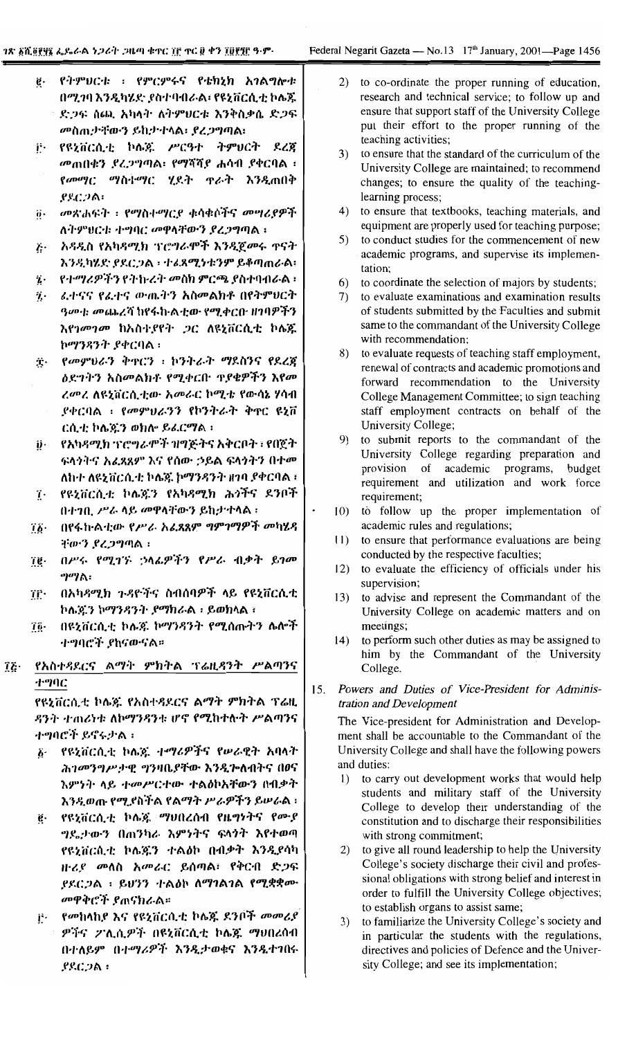|     | ġ.                    | የትምህርቱ ፡ የምርምሩና የቴክኒክ አንልግሎቱ                                    |     | 2)                | to co-ordinate the proper running of education,                                                            |
|-----|-----------------------|-----------------------------------------------------------------|-----|-------------------|------------------------------------------------------------------------------------------------------------|
|     |                       | በሚገባ እንዲካሄድ ያስተባብራል፡ የዩኒቨርሲቲ ኮሌጁ                                |     |                   | research and technical service; to follow up and                                                           |
|     |                       | ድጋፍ ሰጪ አካላት ለትምሀርቱ እንቅስቃሴ ድጋፍ                                   |     |                   | ensure that support staff of the University College<br>put their effort to the proper running of the       |
|     |                       | መስጠታቸውን ይከታተላል፡ ያረጋግጣል፡                                         |     |                   | teaching activities;                                                                                       |
|     | į۰                    | የዩኒቨርሲቲ ኮሌጃ ሥርዓተ ትምሀርት ደረጃ                                      |     | 3)                | to ensure that the standard of the curriculum of the                                                       |
|     |                       | መጠበቁን ያረጋግጣል፡ የማሻሻያ ሐሳብ ያቀርባል ፡                                 |     |                   | University College are maintained; to recommend                                                            |
|     |                       | የመማር ማስተማር ሂደት ኖራት እንዲጠበቅ                                       |     |                   | changes; to ensure the quality of the teaching-                                                            |
|     |                       | .የደርጋል፡                                                         |     |                   | learning process;                                                                                          |
|     | ij٠                   | መጽሐፍት ፣ የማስተማርደ ቁሳቁሶችና መሣሪያዎች                                   |     | 4)                | to ensure that textbooks, teaching materials, and                                                          |
|     |                       | ለትምህርቱ ተግባር መዋላቸውን ያረጋግጣል ፡                                     |     | 5)                | equipment are properly used for teaching purpose;<br>to conduct studies for the commencement of new        |
|     | $\ddot{h}$            | አዳዲስ የአካዳሚክ ፕሮግራሞች እንዲጀመሩ ዋናት                                   |     |                   | academic programs, and supervise its implemen-                                                             |
|     |                       | እንዲካሄደ ያደርጋል ፡ ተፈጸሚነቱንም ይቆጣጠራል፣                                 |     |                   | tation;                                                                                                    |
|     | $\ddot{\imath}$ .     | የተማሪዎችን የትኩረት መስክ ምርጫ ያስተባብራል ፡                                 |     | 6)                | to coordinate the selection of majors by students;                                                         |
|     | <i>Ί</i> .            | ፈተናና የፌተና ውጤትን አስመልክቶ በየትምሀርት                                   |     | 7)                | to evaluate examinations and examination results                                                           |
|     |                       | <i>ዓመተ፡ መጨረ</i> ሻ ክየፋኩል <i>ቲ</i> ው የሚቀርቡ ዘንባዎችን                 |     |                   | of students submitted by the Faculties and submit                                                          |
|     |                       | እየገመገመ ከአስተያየት ጋር ለዩኒቨርሲቲ ኮሌጁ                                   |     |                   | same to the commandant of the University College<br>with recommendation;                                   |
|     |                       | ኮማንዳንት ያቀርባል ፡                                                  |     | 8)                | to evaluate requests of teaching staff employment,                                                         |
|     | $\mathbf{T}$          | የመምህራን ቅኖርን ፣ ኮንትራት ማደስንና የደረጀ                                  |     |                   | renewal of contracts and academic promotions and                                                           |
|     |                       | <i>ዕ</i> ደግትን አስመልክቶ የሚቀርቡ ዋያቄዎችን እየመ                           |     |                   | forward recommendation to the University                                                                   |
|     |                       | ረመረ ለዩኒቨርሲቲው አመራር ኮሚቴ የውሳኔ ሃሳብ                                  |     |                   | College Management Committee; to sign teaching                                                             |
|     |                       | ያቀርባል ፣ የመምሀራንን የኮንትራት ቅኖር ዩኒቨ                                  |     |                   | staff employment contracts on behalf of the                                                                |
|     |                       | ርሲቲ ኮሌጁን ወክሎ ይሬርማል ፡                                            |     | 9)                | University College;<br>to submit reports to the commandant of the                                          |
|     | ij.                   | የአካዳሚክ ፕሮግራሞች ዝግጅትና አቅርቦት ፣ የበጀት                                |     |                   | University College regarding preparation and                                                               |
|     |                       | ፍላንትና አፈጸጸም እና የሰው ኃይል ፍላንትን በተ <i>መ</i>                        |     |                   | provision of academic programs,<br>budget                                                                  |
|     |                       | ለከተ ለዩኒቨርሲቲ ኮሌጃ ኮማንዳንት ዘገባ ያቀርባል ፤                              |     |                   | requirement and utilization and work force                                                                 |
|     | ï٠                    | የዩኒቨርሲቲ ኮሌጁን የአካዳሚክ ሕጎችና ደንቦች                                   |     |                   | requirement;                                                                                               |
|     |                       | በተገቢ ሥራ ላይ መዋላቸውን ይከታተላል ፡                                      |     | 10 <sub>0</sub>   | to follow up the proper implementation of                                                                  |
|     | ïĶ∙                   | በየፋከልቲው የሥራ አሬጻጸም ግምገማዎች መካሄዳ                                   |     | 11)               | academic rules and regulations;<br>to ensure that performance evaluations are being                        |
|     |                       | ቸውን ደረጋግጣል ፡                                                    |     |                   | conducted by the respective faculties;                                                                     |
|     | ïg∙                   | በሥሩ የሚገኙ ;ካፌዎችን የሥራ ብቃት ይገመ                                     |     | $\vert 2 \rangle$ | to evaluate the efficiency of officials under his                                                          |
|     |                       | ግማል፡<br>በአካዳሚክ ጉዳዮችና ስብሰባዎች ላይ የዩኒቨርሲቲ                          |     |                   | supervision;                                                                                               |
|     | ΊÊ·                   | ኮሌვን ኮማንዳንት ያማክራል ፡ ይወክላል ፣                                     |     | 13)               | to advise and represent the Commandant of the                                                              |
|     |                       | በዩኒቨርሲቲ ኮሌጃ ኮማንዳንት የሚሰጡትን ሌሎች                                   |     |                   | University College on academic matters and on                                                              |
|     | Ίĝ·                   | <i>ተግ</i> ባሮች ያከናውናል።                                           |     | (4)               | meetings;<br>to perform such other duties as may be assigned to                                            |
|     |                       |                                                                 |     |                   | him by the Commandant of the University                                                                    |
| Îξ· |                       | የአስተዳደርና ልማት ምክትል ፕሬዚዳንት ሥልጣንና                                  |     |                   | College.                                                                                                   |
|     | ተግባር                  |                                                                 | 15. |                   | Powers and Duties of Vice-President for Adminis-                                                           |
|     |                       | የዩኒቨርሲቲ ኮሌጁ የአስተዳደርና ልማት ምክትል ፕሬዚ                               |     |                   | tration and Development                                                                                    |
|     |                       | ዳንት ተጠሪነቱ ለኮማንዳንቱ ሆኖ የሚከተሉት ሥልጣንና                               |     |                   | The Vice-president for Administration and Develop-                                                         |
|     |                       | ተግባሮች ይኖሩታል ፡                                                   |     |                   | ment shall be accountable to the Commandant of the                                                         |
|     | $\ddot{\mathbf{6}}$ . | የዩኒቨርሲቲ ኮሌጃ ተማሪዎችና የሥራዊት አባላት                                   |     |                   | University College and shall have the following powers                                                     |
|     |                       | ሕገመንግሥታዊ ግንዛቤያቸው እንዲጕለብትና በ0ና                                   |     | 1)                | and duties:<br>to carry out development works that would help                                              |
|     |                       | እምነት ላይ ተመሥርተው ተልዕኮአቸውን በብቃት                                    |     |                   | students and military staff of the University                                                              |
|     |                       | እንዲወጡ የሚያስችል የልማት ሥራዎችን ይሠራል ፡                                  |     |                   | College to develop their understanding of the                                                              |
|     | ę.                    | የዩኒቨርሲቲ ኮሌጃ ማህበረሰብ የዜግነትና የሙያ                                   |     |                   | constitution and to discharge their responsibilities                                                       |
|     |                       | <i>ግ</i> ደ <sub>0</sub> ታውን በጠንካራ እምነትና ፍላነት እየተወጣ              |     |                   | with strong commitment;                                                                                    |
|     |                       | የዩኒቨርሲቲ ኮሌጃን ተልዕኮ በብቃት እንዲያሳካ                                   |     | 2)                | to give all round leadership to help the University<br>College's society discharge their civil and profes- |
|     |                       | ዙሪደ መለስ አመራር ይሰጣል፣ የቅርብ ድጋፍ                                     |     |                   | sional obligations with strong belief and interest in                                                      |
|     |                       | ያደርጋል ፡ ይሆንን ተልዕኮ ለማገልገል የሚቋቋሙ                                  |     |                   | order to fulfill the University College objectives;                                                        |
|     |                       | መዋቅሮች ያጠናክራል።                                                   |     |                   | to establish organs to assist same;                                                                        |
|     | į٠                    | የመከላከያ እና የዩኒቨርሲቲ ኮሌጁ ደንቦች መመሪያ<br>ዎችና ፖሊሲዎች በዩኒቨርሲቲ ኮሌጁ ማህበረሰብ |     | 3)                | to familiarize the University College's society and                                                        |
|     |                       | በተለይም በተማሪዎች እንዲታወቁና እንዲተገበሩ                                    |     |                   | in particular the students with the regulations,                                                           |
|     |                       | .የደርጋል ፡                                                        |     |                   | directives and policies of Defence and the Univer-<br>sity College; and see its implementation;            |
|     |                       |                                                                 |     |                   |                                                                                                            |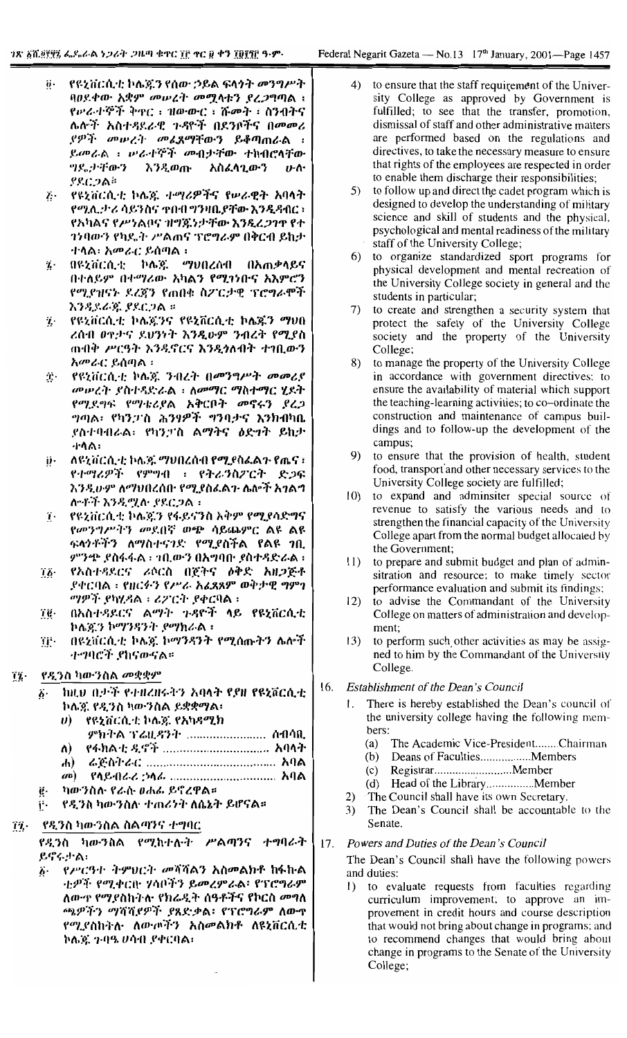- የዩኒቨርሲቲ ኮሌጄን የሰው ኃይል ፍላጎት መንግሥት ö. ባዐደቀው አቋም መሠረት መሟላቱን ደረጋግጣል ፤ የሥራተኞች ቅኖር ፡ ዝውውር ፡ ሹመት ፡ ስንብትና ሌሎች አስተዳደራዊ ጉዳዮች በደንቦችና በመመሪ ያዎች መሥረት መፈጸማቸውን ይቆጣጠራል ፡ ይመራል ፣ ሥራተኞች መብታቸው ተከብሮላቸው つくごうすのう እንዲወጡ አስፈላጊውን  $J - \Lambda$ ያደርጋል።
- የዩኒቨርሲቲ ኮሌ፩ ተማሪዎችና የሠራዊት አባላት  $\ddot{\mathbf{c}}$ የሚሊታሪ ሳይንስና ተበብ ግንዛቤያቸው እንዲዳብር ፡ የአካልና የሥነልቦና ዝግጁነታቸው እንዲረጋገጥ የተ ንነባውን የካዴት ሥልጠና ፕሮግራም በቅርብ ይከታ ተሳል፡ አመራር ይሰጣል ፡
- በዩኒቨርሲቲ ኮሌጃ ማህበረሰብ በአጠቃላይና 7. በተለይም በተማሪው አካልን የሚገነቡና አእምሮን የሚያዝናኑ ደረጃን የጠበቁ ስፖርታዊ ፕሮግራሞች እንዲደራጁ ያደርጋል ።
- የዩኒቨርሲቲ ኮሌጄንና የዩኒቨርሲቲ ኮሌጁን ማህበ  $\ddot{\mathbf{r}}$ ረሰብ ወዋታና ደህንነት እንዲሁም ንብረት የሚያስ ጠብቅ ሥርዓት እንዲኖርና እንዲጎለብት ተገቢውን አመራር ይሰጣል ፡
- የዩኒቨርሲቲ ኮሌ፮ ንብረት በመንግሥት መመሪያ  $\mathbf{T}$  . መሥረት ያስተዳድራል ፡ ለመማር ማስተማር ሂደት የሚደግፍ የማቴሪያል አቅርቦት መኖሩን ያረጋ ግጣል፣ የካንጋንስ ሕንፃዎች ግንባታና እንክብካቤ ያስተባብራል፡ የካንፓስ ልማትና ዕድነት ይከታ ተሳል፡
- ለዩኒቨርሲቲ ኮሌጁ ማህበረሰብ የሚያስፌልጉ የጤና ፣ የተማሪዎች የምግብ ፡ የትራንስፖርት ድጋፍ እንዲሁም ለማህበረሰው የሚያስፌልን ሌሎች አ*ገ*ልግ ሎቶች እንዲሟሉ ያደርጋል።
- የዩኒቨርሲቲ ኮሌጇን የፋይናንስ አቅም የሚያሳድግና ï. የመንግሥትን መደበኛ ወጭ ሳይጨምር ልዩ ልዩ ፍላንቶችን ለማስተናገድ የሚያስችል የልዩ *ገ*ቢ ምንጭ ያስፋፋል ፡ ኀቢውን በአግባቡ ያስተዳድራል ፡
- የአስተዳደርና ሪሶርስ በጀትና ዕቅድ አዘጋጅቶ ïβ· ያቀርባል ፣ የዘርፉን የሥራ አፈጻጸም ወቅታዊ ግምገ ማዎች የካሂዳል ፡ ሪፖርት የቀርባል ፡
- በአስተዳደርና ልማት ጉዳዮች ላይ የዩኒቨርሲቲ TC. ኮሌጇን ኮማንዳንት ያማክራል ፡
- በዩኒቨርሲቲ ኮሌ፩ ኮማንዳንት የሚሰጡትን ሌሎች ïj⊡ -ተማባሮች ያከናውናል።

#### የዲንስ ካውንስል መቋቋም  $\tilde{\mathbf{u}}$

- ከዚህ በታች የተዘረዘሩትን አባላት የያዘ የዩኒቨርሲቲ  $\ddot{\mathbf{b}}$ . ኮሌዩ የዲንስ ካውንስል ይቋቋማል፣
	- $\boldsymbol{\theta}$ ) የዩኔቨርሲቲ ኮሌጆ የአካዳሚክ

ምክትል ፕሬዚዳንት ........................ ስብሳቢ

- የፋክልቲ ዲኖች ................................ አባላት  $\mathbf{v}$
- $\mathbf{d}$  $(10)$ የሳይብራሪ *:*ኦሳፊ ................................. አባል
- ካውንስስ የራሱ ፀሐፊ ይኖረዋል።
- የዲንስ ካውንስሉ ተጠሪነት ለሴኔት ይሆናል። í٠.

#### .የዲንስ ካውንስል ስልጣንና ተግባር  $\eta$  .

የዲንስ ካውንስል የሚከተሉት ሥልጣንና ተግባራት ይኖሩታል:

፩· የሥርዓተ ትምህርት መሻሻልን አስመልክቶ ከፋኩል ቲዎች የሚቀርቡ ሃሳቦችን ይመረምራል፡ የፕሮግራም ለውጥ የማደስከትሉ የክሬዲት ሰዓቶችና የኮርስ መግለ ጫዎችን ማሻሻደዎች ያጸድቃል፡ የፕሮግራም ለውዋ የሚያስከትሉ ለውጦችን አስመልክቶ ለዩኒቨርሲቲ ኮሌጃ ጉባዔ ሀሳብ ያቀርባል፡

- $4)$ to ensure that the staff requirement of the University College as approved by Government is fulfilled; to see that the transfer, promotion, dismissal of staff and other administrative matters are performed based on the regulations and directives, to take the necessary measure to ensure that rights of the employees are respected in order to enable them discharge their responsibilities;
- to follow up and direct the cadet program which is 5) designed to develop the understanding of military science and skill of students and the physical, psychological and mental readiness of the military staff of the University College;
- 6) to organize standardized sport programs for physical development and mental recreation of the University College society in general and the students in particular;
- 7) to create and strengthen a security system that protect the safety of the University College society and the property of the University College;
- 8) to manage the property of the University College in accordance with government directives; to ensure the availability of material which support the teaching-learning activities; to co-ordinate the construction and maintenance of campus buildings and to follow-up the development of the campus;
- 9) to ensure that the provision of health, student food, transport and other necessary services to the University College society are fulfilled;
- 10) to expand and adminsiter special source of revenue to satisfy the various needs and to strengthen the financial capacity of the University College apart from the normal budget allocated by the Government;
- $11)$ to prepare and submit budget and plan of adminsitration and resource; to make timely sector performance evaluation and submit its findings;
- $12)$ to advise the Commandant of the University College on matters of administration and development:
- to perform such other activities as may be assig- $(3)$ ned to him by the Commandant of the University College.

#### 16. Establishment of the Dean's Council

- There is hereby established the Dean's council of  $\mathbf{L}$ the university college having the following members:
	- $(a)$ The Academic Vice-President........Chairman
	- $(b)$
	-
	-
- The Council shall have its own Secretary.  $(2)$
- $3)$ The Dean's Council shall be accountable to the Senate.

## Powers and Duties of the Dean's Council  $17.$

The Dean's Council shall have the following powers and duties:

1) to evaluate requests from faculties regarding curriculum improvement; to approve an improvement in credit hours and course description that would not bring about change in programs; and to recommend changes that would bring about change in programs to the Senate of the University College;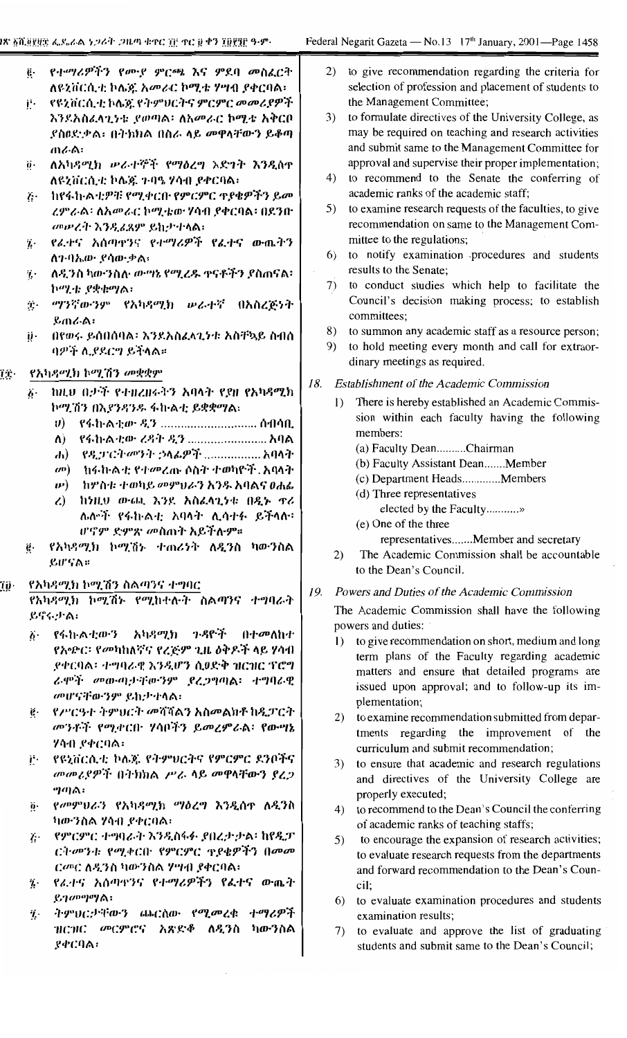| iጽ <u>አሺ፱፻</u> ፱፰ ፌዶራል <i>ነጋሪት ጋዜ</i> ጣ ቁዋር ፲፫ ዋር ፱ ቀን ፲፱፻፺፫ ዓ·ም·                                                                     |                                                                                                                                                                                                                                                                                                                                                                                                                                                                                                                                                                                                             | Federal Negarit Gazeta — No.13 17 <sup>th</sup> January, 2001—Page 1458                                                                                                                                                                                                                                                                                                                                                                                                                                                                                                                                                                                                                                                                                                                                                                                                                                                                                                                       |  |  |  |
|---------------------------------------------------------------------------------------------------------------------------------------|-------------------------------------------------------------------------------------------------------------------------------------------------------------------------------------------------------------------------------------------------------------------------------------------------------------------------------------------------------------------------------------------------------------------------------------------------------------------------------------------------------------------------------------------------------------------------------------------------------------|-----------------------------------------------------------------------------------------------------------------------------------------------------------------------------------------------------------------------------------------------------------------------------------------------------------------------------------------------------------------------------------------------------------------------------------------------------------------------------------------------------------------------------------------------------------------------------------------------------------------------------------------------------------------------------------------------------------------------------------------------------------------------------------------------------------------------------------------------------------------------------------------------------------------------------------------------------------------------------------------------|--|--|--|
| $\ddot{\mathbf{e}}\cdot$<br>Ï۰<br>$\ddot{\mathbf{0}}$ .<br>$\ddot{\mathbf{r}}$<br>$\mathbf{v}$<br>ï۰<br>$\hat{T}_\mathrm{s}$ .<br>ij٠ | የተማሪዎችን የሙያ ምርጫ እና ምደባ መስፈርት<br>ለዩኒቨርሲቲ ኮሌጅ አመራር ኮሚቴ ሃሣብ ያቀርባል፡<br>የዩኒቨርሲቲ ኮሌ፩ የተምህርትና ምርምር <i>መመሪያዎች</i><br>እንደአስፈላጊነቱ ያወጣል፡ ለአመራር ኮሚቴ አቅርቦ<br>ያስዐድቃል፡ በትክክል በስራ ላይ መዋላቸውን ይቆጣ<br>ጠራል፡<br>ለአካዳሚክ ሥራተኞች የማዕረግ እድገት እንዲሰዋ<br>ለዩኒቨርሲቲ ኮሌጃ ጉባዔ ሃሳብ ያቀርባል፡<br>ከየፋከ፡ልቲዎቹ የሚቀርቡ የምርምር ዋያቄዎችን ይመ<br>ረምራል፡ ለአመራር ኮሚቴው ሃሳብ ያቀርባል፡ በደንበ<br>መሥረት እንዲሬጸም ይከታተላል፡<br>የፈተና አሰጣዋንና የተማሪዎች የፌተና ውጨትን<br>ለን ባኤው ያሳውቃል፡<br>ለዲንስ ካውንስሉ ውግኔ የሚረዱ ዋናቶችን ያስጠናል፡<br>ኮሚቴ ያቋቁማል፡<br><i>ማንኛውንም የአካዳሚክ  ውራተኛ</i> በአስረጅነት<br>ይጠራል፡<br>በየወሩ ይሰበሰባል፡ እንደአስፈላጊንቱ አስቸኳይ ስብሰ<br>ባዎች ሊያደርግ ይትላል።                                              | 2)<br>to give recommendation regarding the criteria for<br>selection of profession and placement of students to<br>the Management Committee;<br>to formulate directives of the University College, as<br>3)<br>may be required on teaching and research activities<br>and submit same to the Management Committee for<br>approval and supervise their proper implementation;<br>to recommend to the Senate the conferring of<br>4)<br>academic ranks of the academic staff;<br>to examine research requests of the faculties, to give<br>5)<br>recommendation on same to the Management Com-<br>mittee to the regulations;<br>to notify examination procedures and students<br>6)<br>results to the Senate;<br>to conduct studies which help to facilitate the<br>7)<br>Council's decision making process; to establish<br>committees;<br>to summon any academic staff as a resource person;<br>8)<br>to hold meeting every month and call for extraor-<br>9)<br>dinary meetings as required. |  |  |  |
| ÏΫ.<br>$\boldsymbol{b}$ .<br>ë.                                                                                                       | የአካዳሚክ ኮሚሽን መቋቋም<br>ከዚህ በታች የተዘረዘሩትን አባላት የያዘ የአካዳሚክ<br>ኮሚሽን በኢየንዳንዱ ፋኩልቲ ይቋቋማል፡<br>- የፋክ·ልቲው ዲን  ስብሳቢ<br>$\boldsymbol{v}$<br>የፋከ·ል·ቲው ረዳት ዲን  አባል<br>$\Lambda$ )<br>የዲፓርት <i>መንት ኃ</i> ላፊዎች  አባላት<br>$\mathbf{d}$<br>ከፋክልቲ የተመረጡ ሶስት ተወካዮች. አባላት<br>$\omega$ <sup>D</sup> )<br>ከሦስቱ ተወካይ መምህራን እንዱ አባልና ወሐፌ<br><b>v</b> )<br>$\lambda$<br>ከነዚህ ውጫ እንደ አስፈላጊነቱ በዲኑ ዋሪ<br>ሌሎች የፋኩልቲ አባላት ሊሳተፉ ይችላሉ፡<br>ሆኖም ድምጽ መስጠት አይችሉም።<br>የአካዳሚክ ኮሚሽኑ ተጠሪነት ለዲንስ ካውንስል<br>ይሆናል።                                                                                                                                          | 18.<br><b>Establishment of the Academic Commission</b><br>There is hereby established an Academic Commis-<br>$\left  \right $<br>sion within each faculty having the following<br>members:<br>(a) Faculty DeanChairman<br>(b) Faculty Assistant DeanMember<br>(c) Department HeadsMembers<br>(d) Three representatives<br>elected by the Faculty<br>(e) One of the three<br>representativesMember and secretary<br>The Academic Commission shall be accountable<br>2)<br>to the Dean's Council.                                                                                                                                                                                                                                                                                                                                                                                                                                                                                               |  |  |  |
| Ţÿ∙<br>$\ddot{b}$ .<br>ë.<br>į٠<br>$\ddot{\mathbf{0}}$ .<br>$\dddot{v}$ .                                                             | የአካዳሚክ ኮሚሽን ስልጣንና ተግባር<br>የአካዳሚክ ኮሚሽኑ የሚከተሉት ስልጣንና ተግባራት<br>ይኖሩታል፡<br>የፋኩልቲውን አካዳሚክ ንዳዮች በተመለከተ<br>የአጭር፡ የመካከለኛና የረጅም ጊዜ ዕቅዶች ላይ ሃሳብ<br>ያቀርባል፡ ተግባራዊ እንዲሆን ሲወድቅ ዝርዝር ፕሮግ<br>ራሞች መውጣታቸውንም ያረጋግጣል፡ ተግባራዊ<br>መሆናቸውንም ይኪታተላል፡<br>የሥርዓተ ትምፀርት መሻሻልን አስመልክቶ ከዲፓርት<br>መንቶች የሚቀርቡ ሃሳቦችን ይመረምራል፡ የውሣኔ<br>ሃሳብ ያቀርባል፡<br>የዩኒቨርሲቲ ኮሌጅ የትምህርትና የምርምር ደንቦችና<br>መመሪያዎች በትክክል ሥራ ላይ መዋላቸውን ያረጋ<br>ግጣል፡<br><i>የመምህራን የአካዳሚክ ማዕረግ እንዲ</i> ሰዋ ለ <i>ዲን</i> ስ<br>ካውንስል ሃሳብ ያቀርባል፡<br>የምርምር ተግባራት እንዲስፋፉ ያበረታታል፡ ከየዲፓ<br>$\ddot{G}$<br>ርት መንቱ የሚቀርቡ የምርምር ዋያቄዎችን በመመ<br>ርመር ለዲንስ ካውንስል ሃሣብ ያቀርባል፣<br>የፈተና አሰጣዋንና የተማሪዎችን የፌተና ውጤት | Powers and Duties of the Academic Commission<br>19.<br>The Academic Commission shall have the following<br>powers and duties:<br>to give recommendation on short, medium and long<br>$\vert$ )<br>term plans of the Faculty regarding academic<br>matters and ensure that detailed programs are<br>issued upon approval; and to follow-up its im-<br>plementation;<br>to examine recommendation submitted from depar-<br>2)<br>tments regarding the improvement of the<br>curriculum and submit recommendation;<br>to ensure that academic and research regulations<br>3)<br>and directives of the University College are<br>properly executed;<br>to recommend to the Dean's Council the conferring<br>4)<br>of academic ranks of teaching staffs;<br>to encourage the expansion of research activities;<br>5)<br>to evaluate research requests from the departments<br>and forward recommendation to the Dean's Coun-<br>cil;                                                               |  |  |  |

- \_የፊ:ተና\_አሰጣዋንና\_የተማሪዎ  $\mathbf{z}$ 'ጤ ተ 'T '6.T ይገ $\omega$ <sup>no</sup>l<sup>o</sup>lል፡
- ትምህርታቸውን ጨርሰው የሚመረቁ ተማሪዎች  $\ddot{\mathbf{z}}$ ዝርዝር መርምሮና አጽድቆ ለዲንስ ካውንስል ያቀርባል፡
- 6) to evaluate examination procedures and students examination results;
- 7) to evaluate and approve the list of graduating students and submit same to the Dean's Council;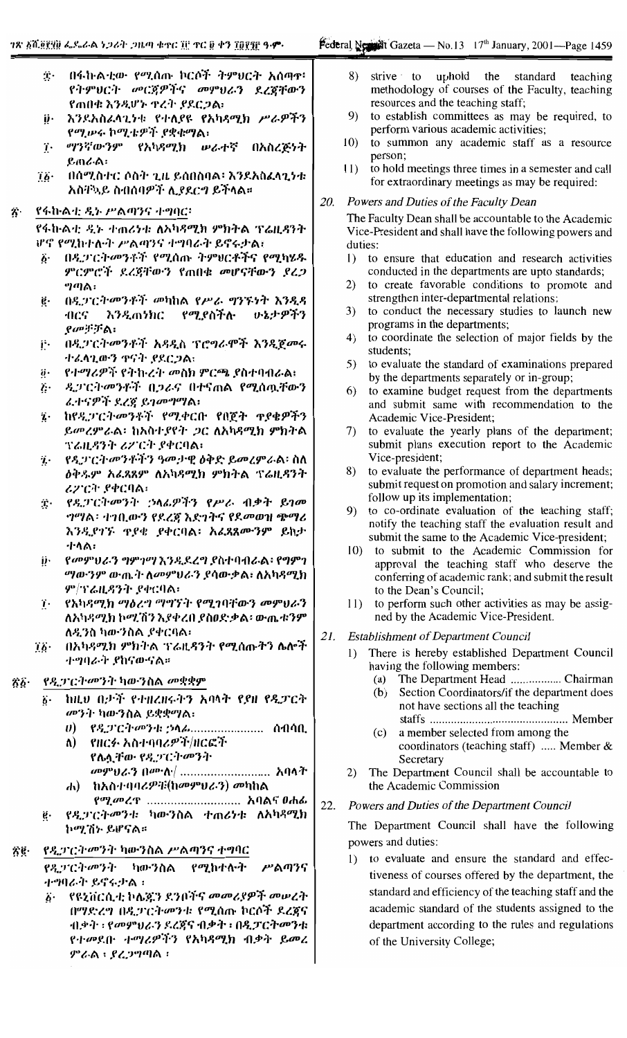- በፋኩልቲው የሚሰጡ ኮርሶች ትምህርት አሰጣዋ፡  $\ddot{\mathbf{r}}$ . የትምህርት መርጀዎችና መምህራን ደረጀቸውን የጠበቁ እንዲሆኑ ዋረት የደርጋል፡
- ij. እንደአስፈላጊነቱ የተለያዩ የአካዳሚክ ሥራዎችን የሚሥሩ ኮሚቴዎች ያቋቁማል፡
- ማንኛውንም የአካዳሚክ ሠራተኛ ï. በአስረጅነት ይጠራል፡
- በሰሚስተር ሶስት ጊዜ ይሰበስባል፡ እንደአስፈላጊነቱ  $\dddot{a}$ አስቸኳይ ስብሰባዎች ሊያደርግ ይችላል።

# የፋኩልቲ ዲኑ ሥልጣንና ተግባር፡

የፋኩልቲ ዲኑ ተጠሪነቱ ለአካጻሚክ ምክትል ፕሬዚዳንት ሆኖ የሚከተሉት ሥልጣንና ተግባራት ይኖሩታል፣

- በዲፓርትመንቶች የሚሰጡ ትምሀርቶችና የሚካሄዱ  $\ddot{\mathbf{b}}$ . ምርምሮች ደረጃቸውን የጠበቁ መሆናቸውን ደረጋ ግጣል፡
- በዲፓርትመንቶች መካከል የሥራ ግንኙነት እንዲዳ ë٠ 4105 እንዲጠንክር የሚያስችሉ いょナダችን  $\rho$ መቻቻል፡
- በዲፓርትመንቶች አዳዲስ ፕሮግራሞች እንዲጀመሩ į٠ ተፈላጊውን ዋናት ያደርጋል፡
- የተማሪዎች የትኩረት መስክ ምርጫ ያስተባብራል፤  $\ddot{\mathbf{0}}$ .
- ዲፓርትመንቶች በጋራና በተናጠል የሚሰዉቸውን  $\ddot{c}$ ፈተናዎች ደረጀ ይገመግማል፣
- ከየዲፓርትመንቶች የሚቀርቡ የበጀት ዋያቄዎችን ï. ይመረምራል፡ ከአስተያየት ጋር ለአካዳሚክ ምክትል ፕሬዚዳንት ሪፖርት ያቀርባል፡
- የዲፓርትመንቶችን ዓመታዊ ዕቅድ ይመረምራል፡ ስለ  $\eta$  . *ዕቅዱም አሬጸጸም ለአካዳሚክ ምክት*ል *ፕ*ሬዚዳንት ሪፖርት ያቀርባል፡
- $\mathbf{T}$  . የዲፓርትመንት ኃላፊዎችን የሥራ ብቃት ይገመ ግማል፡ ተገቢውን የደረጃ እድገትና የደመወዝ ጭማሪ እንዲያገኙ ዋያቄ ያቀርባል፡ አፈጸጸሙንም ይከታ ብላል፡
- የመምህራን ግምገማ እንዲደረግ ያስተባብራል፥ የግምገ j)٠ *ግ*መንም ውጤት ለመምህራን ያሳውቃል፣ ለአካዳሚክ ም/ፕሬዚዳንት ያቀርባል፡
- የአካዳሚክ ማዕረግ ማግኘት የሚገባቸውን መምህራን ï. ለአካዳሚክ ኮሚሽን እያቀረበ ያስዐድቃል፡ ውጤቱንም ለዲንስ ካውንስል ያቀርባል፡
- በአካዳሚክ ምክትል ፕሬዚዳንት የሚሰጡትን ሴሎች ïö∙ *ተግባራት ያ*ከናውናል።

#### $\ddot{\delta} \ddot{\delta}$ *የዲ*ጋር*ትመንት* ካውንስል መቋቋም

- ከዚህ በታች የተዘረዘሩትን አባላት የያዘ የዲፓርት ΰ. መንት ካውንስል ይቋቋማል፡
	- *የዲ*ፓርት*መንተ፡ ኃ*ላፊ......................... ስብሳቢ  $\boldsymbol{\theta}$ ) የዘርፉ አስተባባሪዎች/ዘርፎች ለ)
	- የሌሏቸው የዲፓርትመንት መምህራን በመስ/ ............................ አባላት ሐ) ከአስተባባሪዎቹ(ከመምህራን) መካከል
- የሚመረዋ ............................ አባልና ዐሐፊ የዲፓርትመንቱ ካውንስል ተጠሪነቱ ለአካዳሚክ ġ. ኮሚሽኑ ይሆናል።
- የዲፓርት መንት ካውንስል ሥልጣንና ተግባር X€∙

የዲፓርት መንት ካውንስል የሚከተሉት ሥልጣንና ብማባራት ይኖሩታል።

የዩኒቨርሲቲ ኮሌጁን ደንቦችና መመሪያዎች መሠረት  $\ddot{\mathbf{6}}$ . በማድረግ በዲፓርትመንቱ የሚሰጡ ኮርሶች ደረጀና ብቃት ፡ የመምህራን ደረጃና ብቃት ፡ በዲፓርትመንቱ የተመደቡ ተማሪዎችን የአካዳሚክ ብቃት ይመረ ምራል ፡ ያረጋግጣል ፡

- 8) strive to uphold the standard teaching methodology of courses of the Faculty, teaching resources and the teaching staff;
- 9) to establish committees as may be required, to perform various academic activities;
- 10) to summon any academic staff as a resource person;
- 11) to hold meetings three times in a semester and call for extraordinary meetings as may be required:

## 20. Powers and Duties of the Faculty Dean

The Faculty Dean shall be accountable to the Academic Vice-President and shall have the following powers and duties:

- 1) to ensure that education and research activities conducted in the departments are upto standards;
- to create favorable conditions to promote and  $(2)$ strengthen inter-departmental relations;
- $3)$ to conduct the necessary studies to launch new programs in the departments;
- $4)$ to coordinate the selection of major fields by the students:
- $5)$ to evaluate the standard of examinations prepared by the departments separately or in-group;
- 6) to examine budget request from the departments and submit same with recommendation to the Academic Vice-President;
- $7)$ to evaluate the yearly plans of the department; submit plans execution report to the Academic Vice-president;
- $\mathbf{R}$ to evaluate the performance of department heads; submit request on promotion and salary increment; follow up its implementation;
- to co-ordinate evaluation of the teaching staff;  $9)$ notify the teaching staff the evaluation result and submit the same to the Academic Vice-president;
- 10) to submit to the Academic Commission for approval the teaching staff who deserve the conferring of academic rank; and submit the result to the Dean's Council;
- to perform such other activities as may be assig- $11)$ ned by the Academic Vice-President.
- Establishment of Department Council 21.
	- There is hereby established Department Council  $1)$ having the following members:
		- The Department Head .................. Chairman (a)
		- Section Coordinators/if the department does  $(b)$ not have sections all the teaching
		- a member selected from among the  $(c)$ coordinators (teaching staff) ..... Member  $\&$
		- Secretary The Department Council shall be accountable to
	- $(2)$ the Academic Commission

#### 22. Powers and Duties of the Department Council

The Department Council shall have the following powers and duties:

1) to evaluate and ensure the standard and effectiveness of courses offered by the department, the standard and efficiency of the teaching staff and the academic standard of the students assigned to the department according to the rules and regulations of the University College;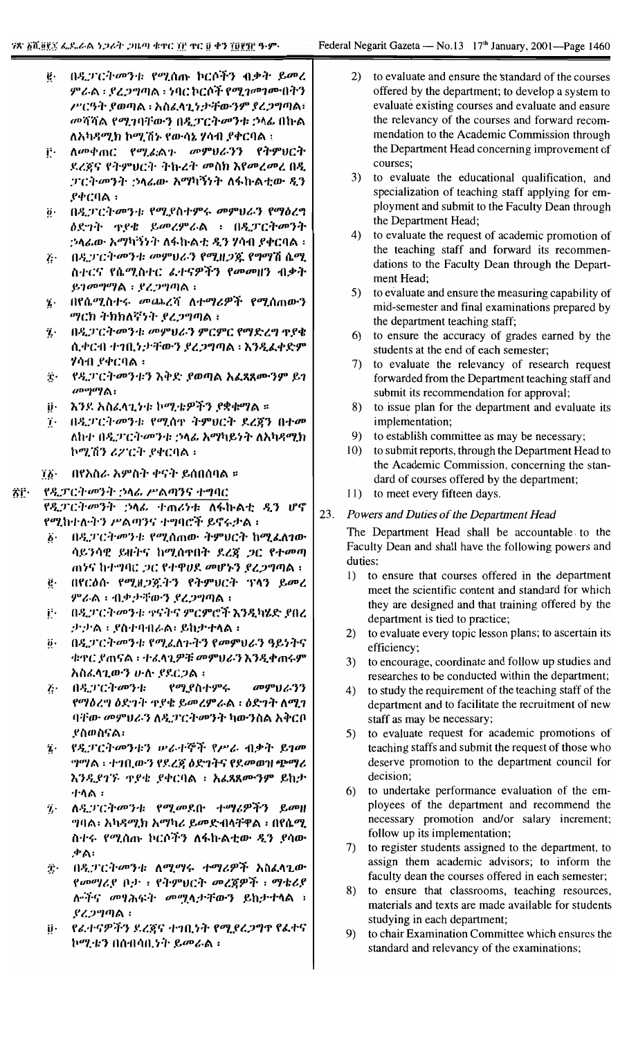- በዲፓርትመንቱ የሚሰጡ ኮርሶችን ብቃት ይመረ ë. ምራል ፡ ደረጋግጣል ፡ ነባር ኮርሶች የሚገመገሙበትን ሥርዓት ያወጣል ፡ አስፌላጊነታቸውንም ያረጋግጣል፡ መሻሻል የሚገባቸውን በዲፓርትመንቱ ኃላፊ በኩል ለአካዳሚክ ኮሚሽኑ የውሳኔ ሃሳብ ያቀርባል ፣
- ij∙. ለመቀጠር የሚፊልጉ መምህራንን የትምህርት ደረጃና የትምህርት ትኩረት መስክ እየመረመረ በዲ ፓርትመንት ኃላፊው አማካኝነት ለፋኩልቲው ዲን .የቀርባል ፡
- በዲፓርትመንቱ የሚያስተምሩ መምህራን የማዕረግ  $\ddot{\theta}$ . ዕደግት ዋያቄ ይመረምራል ፡ በዲፓርትመንት *:*›ላሬው አማካኝንት ለፋኩልቲ ዲን ሃሳብ ያቀርባል ፡
- ξ· በዲፓርት መንቱ መምህራን የሚዘጋጁ የግማሽ ሴሚ ስተርና የሴሚስተር ፌተናዎችን የመመዘን ብቃት ይገመግማል : ደረጋግጣል ፡
- በየሴሚስተሩ መጨረሻ ለተማሪዎች የሚሰጠውን  $\dddot{\mathbf{z}}$ . *ግ*ርክ ትክክለኛነት ያረ*ጋግ*ጣል ፣
- በዲፓርትመንቱ መምህራን ምርምር የማድረግ ጉያቄ ĩ. ሲቀርብ ተገቢነታቸውን ያረጋግጣል ፡ እንዲፈቀድም ሃሳብ ያቀርባል ፡
- $\ddot{\mathbf{r}}$ የዲፓርትመንቱን እቅድ ያወጣል አፈጻጸሙንም ይገ  $a$ <sup>Do</sup> $a$  / ል፡
- ij. እንደ አስፈላጊነቱ ኮሚቴዎችን ያቋቁማል ።
- 7. በዲፓርትመንቱ የሚሰዋ ትምህርት ደረጃን በተመ ለከተ በዲፓርትመንቱ ኃላፊ አማካይነት ለአካዳሚክ ኮሚሽን ሪፖርት ያቀርባል ፡
- ፲፩• በየአስራ አምስት ቀናት ይሰበሰባል ።

## የዲፓርት መንት ኃላፊ ሥልጣንና ተግባር ŜΓ∙

የዲፓርትመንት ኃላፊ ተጠሪነቱ ለፋኩልቲ ዲን ሆኖ የሚከተለቀን ሥልጣንና ተግባሮች ይኖሩታል ፡

- በዲፓርት መንቱ የሚሰጠው ትምህርት ከሚፈለገው  $\ddot{\theta}$ . ሳይንሳዊ ይዘትና ከሚሰጥበት ደረጃ ጋር የተመጣ ጠንና ከተግባር ጋር የተዋሀደ መሆኑን ያረጋግጣል ፤
- በየርዕሱ የሚዘጋጁትን የትምህርት ፕላን ይመረ ġ. ምራል ፡ ብቃታቸውን ያረጋግጣል ፡
- በዲፓርትመንቱ ተናትና ምርምሮች እንዲካሄድ ያበረ i٠. ታታል ፡ ያስተባብራል፡ ይከታተላል ፡
- በዲፓርትመንቱ የሚፈለጉትን የመምህራን ዓይነትና  $\ddot{\mathbf{0}}$ . ቁዋር ያጠናል ፡ ተፈላጊዎቹ መምሀራን እንዲቀጠሩም አስፈላጊውን ሁሉ ያደርጋል ፡
- መምህራንን そー まえきにすのうま የሚያስተምሩ የማዕረግ ዕድገት ጥያቄ ይመረምራል ፡ ዕድገት ለሚገ ባቸው መምህራን ለዲፓርትመንት ካውንስል አቅርቦ ያስወስናል፡
- የዲፓርትመንቱን ሠራተኞች የሥራ ብቃት ይገመ  $\mathbf{r}$ ግግል ፡ ተገቢውን የደረጃ ዕድገትና የደመወዝ ጭማሪ እንዲያገኙ ዋያቄ ያቀርባል ፣ አሬጻጸሙንም ይከታ ተሳል ፡
- ለዲፓርትመንቱ የሚመደቡ ተማሪዎችን ይመዘ ij. *ግ*ባል፡ አካዳሚክ አማካሪ ይመድብላቸዋል ፡ በየሴሚ ስተሩ የሚሰጡ ኮርሶትን ለፋኩልቲው ዲን ያሳው .ቃል፡
- በዲፓርትመንቱ ለሚማሩ ተማሪዎች አስፈላጊው Ť. የመማሪያ ቦታ : የትምህርት መረጀዎች ፡ ማቴሪየ ሎችና መፃሕፍት መሟላታቸውን ይከታተላል ፡ ያረጋግጣል ፡
- የፊተናዎችን ደረጃና ተገቢነት የሚያረጋግዋ የፌተና ij. ኮሚቴን በሰብሳቢነት ይመራል ፡
- $(2)$ to evaluate and ensure the standard of the courses offered by the department; to develop a system to evaluate existing courses and evaluate and ensure the relevancy of the courses and forward recommendation to the Academic Commission through the Department Head concerning improvement of courses:
- to evaluate the educational qualification, and  $3)$ specialization of teaching staff applying for employment and submit to the Faculty Dean through the Department Head;
- 4) to evaluate the request of academic promotion of the teaching staff and forward its recommendations to the Faculty Dean through the Department Head:
- $5)$ to evaluate and ensure the measuring capability of mid-semester and final examinations prepared by the department teaching staff;
- to ensure the accuracy of grades earned by the 6) students at the end of each semester;
- 7) to evaluate the relevancy of research request forwarded from the Department teaching staff and submit its recommendation for approval;
- 8) to issue plan for the department and evaluate its implementation;
- to establish committee as may be necessary; 9)
- 10) to submit reports, through the Department Head to the Academic Commission, concerning the standard of courses offered by the department;
- 11) to meet every fifteen days.

## 23. Powers and Duties of the Department Head

The Department Head shall be accountable to the Faculty Dean and shall have the following powers and duties:

- 1) to ensure that courses offered in the department meet the scientific content and standard for which they are designed and that training offered by the department is tied to practice;
- to evaluate every topic lesson plans; to ascertain its  $2)$ efficiency;
- to encourage, coordinate and follow up studies and  $3)$ researches to be conducted within the department;
- 4) to study the requirement of the teaching staff of the department and to facilitate the recruitment of new staff as may be necessary;
- to evaluate request for academic promotions of  $5)$ teaching staffs and submit the request of those who deserve promotion to the department council for decision;
- to undertake performance evaluation of the em-6) ployees of the department and recommend the necessary promotion and/or salary increment; follow up its implementation;
- $(7)$ to register students assigned to the department, to assign them academic advisors; to inform the faculty dean the courses offered in each semester;
- 8) to ensure that classrooms, teaching resources, materials and texts are made available for students studying in each department;
- 9) to chair Examination Committee which ensures the standard and relevancy of the examinations;